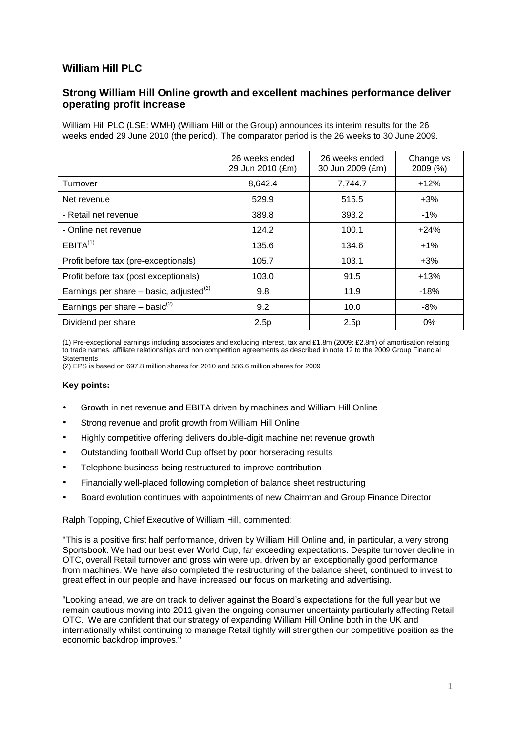# **William Hill PLC**

## **Strong William Hill Online growth and excellent machines performance deliver operating profit increase**

William Hill PLC (LSE: WMH) (William Hill or the Group) announces its interim results for the 26 weeks ended 29 June 2010 (the period). The comparator period is the 26 weeks to 30 June 2009.

|                                                     | 26 weeks ended<br>29 Jun 2010 (£m) | 26 weeks ended<br>30 Jun 2009 (£m) | Change vs<br>2009 (%) |
|-----------------------------------------------------|------------------------------------|------------------------------------|-----------------------|
| Turnover                                            | 8,642.4                            | 7,744.7                            | $+12%$                |
| Net revenue                                         | 529.9                              | 515.5                              | $+3%$                 |
| - Retail net revenue                                | 389.8                              | 393.2                              | $-1\%$                |
| - Online net revenue                                | 124.2                              | 100.1                              | $+24%$                |
| EBITA <sup>(1)</sup>                                | 135.6                              | 134.6                              | $+1%$                 |
| Profit before tax (pre-exceptionals)                | 105.7                              | 103.1                              | $+3%$                 |
| Profit before tax (post exceptionals)               | 103.0                              | 91.5                               | $+13%$                |
| Earnings per share – basic, adjusted <sup>(2)</sup> | 9.8                                | 11.9                               | $-18%$                |
| Earnings per share $-$ basic <sup>(2)</sup>         | 9.2                                | 10.0                               | -8%                   |
| Dividend per share                                  | 2.5p                               | 2.5p                               | 0%                    |

(1) Pre-exceptional earnings including associates and excluding interest, tax and £1.8m (2009: £2.8m) of amortisation relating to trade names, affiliate relationships and non competition agreements as described in note 12 to the 2009 Group Financial **Statements** 

(2) EPS is based on 697.8 million shares for 2010 and 586.6 million shares for 2009

#### **Key points:**

- Growth in net revenue and EBITA driven by machines and William Hill Online
- Strong revenue and profit growth from William Hill Online
- Highly competitive offering delivers double-digit machine net revenue growth
- Outstanding football World Cup offset by poor horseracing results
- Telephone business being restructured to improve contribution
- Financially well-placed following completion of balance sheet restructuring
- Board evolution continues with appointments of new Chairman and Group Finance Director

Ralph Topping, Chief Executive of William Hill, commented:

"This is a positive first half performance, driven by William Hill Online and, in particular, a very strong Sportsbook. We had our best ever World Cup, far exceeding expectations. Despite turnover decline in OTC, overall Retail turnover and gross win were up, driven by an exceptionally good performance from machines. We have also completed the restructuring of the balance sheet, continued to invest to great effect in our people and have increased our focus on marketing and advertising.

"Looking ahead, we are on track to deliver against the Board's expectations for the full year but we remain cautious moving into 2011 given the ongoing consumer uncertainty particularly affecting Retail OTC. We are confident that our strategy of expanding William Hill Online both in the UK and internationally whilst continuing to manage Retail tightly will strengthen our competitive position as the economic backdrop improves."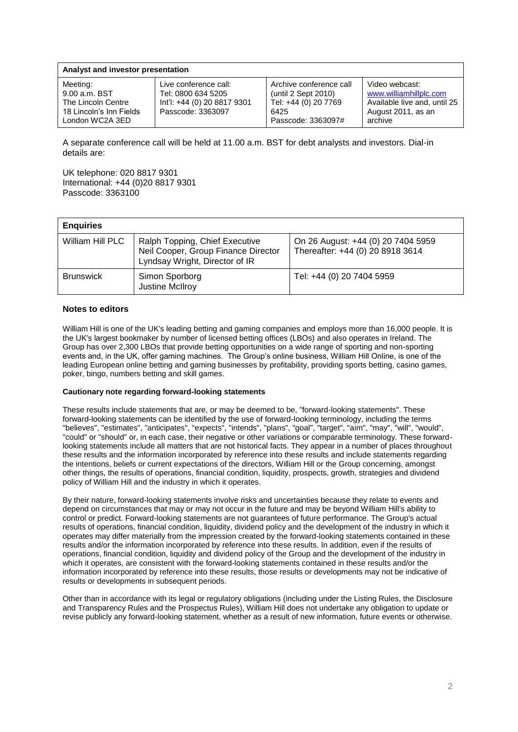| Analyst and investor presentation                                                             |                                                                                                 |                                                                                                      |                                                                                                           |  |  |  |  |  |  |
|-----------------------------------------------------------------------------------------------|-------------------------------------------------------------------------------------------------|------------------------------------------------------------------------------------------------------|-----------------------------------------------------------------------------------------------------------|--|--|--|--|--|--|
| Meeting:<br>9.00 a.m. BST<br>The Lincoln Centre<br>18 Lincoln's Inn Fields<br>London WC2A 3ED | Live conference call:<br>Tel: 0800 634 5205<br>lnt'l: +44 (0) 20 8817 9301<br>Passcode: 3363097 | Archive conference call<br>(until 2 Sept 2010)<br>Tel: +44 (0) 20 7769<br>6425<br>Passcode: 3363097# | Video webcast:<br>www.williamhillplc.com<br>Available live and, until 25<br>August 2011, as an<br>archive |  |  |  |  |  |  |

A separate conference call will be held at 11.00 a.m. BST for debt analysts and investors. Dial-in details are:

UK telephone: 020 8817 9301 International: +44 (0)20 8817 9301 Passcode: 3363100

| <b>Enquiries</b> |                                                                                                         |                                                                        |
|------------------|---------------------------------------------------------------------------------------------------------|------------------------------------------------------------------------|
| William Hill PLC | Ralph Topping, Chief Executive<br>Neil Cooper, Group Finance Director<br>Lyndsay Wright, Director of IR | On 26 August: +44 (0) 20 7404 5959<br>Thereafter: +44 (0) 20 8918 3614 |
| <b>Brunswick</b> | Simon Sporborg<br>Justine McIlroy                                                                       | Tel: +44 (0) 20 7404 5959                                              |

#### **Notes to editors**

William Hill is one of the UK's leading betting and gaming companies and employs more than 16,000 people. It is the UK's largest bookmaker by number of licensed betting offices (LBOs) and also operates in Ireland. The Group has over 2,300 LBOs that provide betting opportunities on a wide range of sporting and non-sporting events and, in the UK, offer gaming machines. The Group's online business, William Hill Online, is one of the leading European online betting and gaming businesses by profitability, providing sports betting, casino games, poker, bingo, numbers betting and skill games.

#### **Cautionary note regarding forward-looking statements**

These results include statements that are, or may be deemed to be, "forward-looking statements". These forward-looking statements can be identified by the use of forward-looking terminology, including the terms "believes", "estimates", "anticipates", "expects", "intends", "plans", "goal", "target", "aim", "may", "will", "would", "could" or "should" or, in each case, their negative or other variations or comparable terminology. These forwardlooking statements include all matters that are not historical facts. They appear in a number of places throughout these results and the information incorporated by reference into these results and include statements regarding the intentions, beliefs or current expectations of the directors, William Hill or the Group concerning, amongst other things, the results of operations, financial condition, liquidity, prospects, growth, strategies and dividend policy of William Hill and the industry in which it operates.

By their nature, forward-looking statements involve risks and uncertainties because they relate to events and depend on circumstances that may or may not occur in the future and may be beyond William Hill's ability to control or predict. Forward-looking statements are not guarantees of future performance. The Group's actual results of operations, financial condition, liquidity, dividend policy and the development of the industry in which it operates may differ materially from the impression created by the forward-looking statements contained in these results and/or the information incorporated by reference into these results. In addition, even if the results of operations, financial condition, liquidity and dividend policy of the Group and the development of the industry in which it operates, are consistent with the forward-looking statements contained in these results and/or the information incorporated by reference into these results, those results or developments may not be indicative of results or developments in subsequent periods.

Other than in accordance with its legal or regulatory obligations (including under the Listing Rules, the Disclosure and Transparency Rules and the Prospectus Rules), William Hill does not undertake any obligation to update or revise publicly any forward-looking statement, whether as a result of new information, future events or otherwise.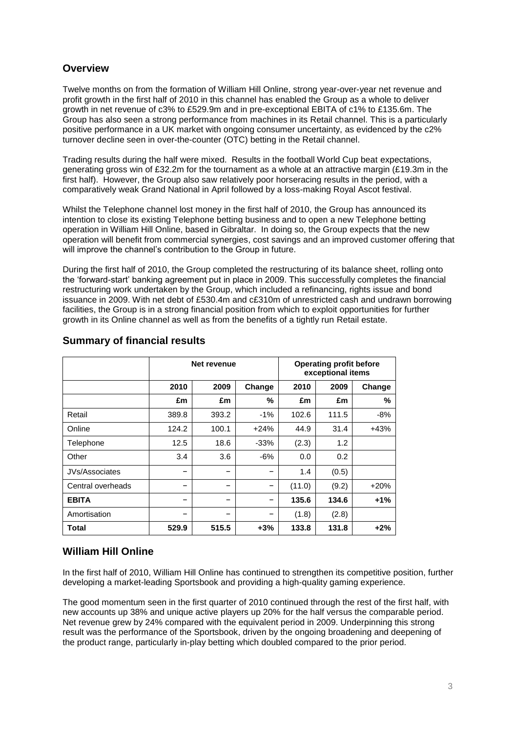# **Overview**

Twelve months on from the formation of William Hill Online, strong year-over-year net revenue and profit growth in the first half of 2010 in this channel has enabled the Group as a whole to deliver growth in net revenue of c3% to £529.9m and in pre-exceptional EBITA of c1% to £135.6m. The Group has also seen a strong performance from machines in its Retail channel. This is a particularly positive performance in a UK market with ongoing consumer uncertainty, as evidenced by the c2% turnover decline seen in over-the-counter (OTC) betting in the Retail channel.

Trading results during the half were mixed. Results in the football World Cup beat expectations, generating gross win of £32.2m for the tournament as a whole at an attractive margin (£19.3m in the first half). However, the Group also saw relatively poor horseracing results in the period, with a comparatively weak Grand National in April followed by a loss-making Royal Ascot festival.

Whilst the Telephone channel lost money in the first half of 2010, the Group has announced its intention to close its existing Telephone betting business and to open a new Telephone betting operation in William Hill Online, based in Gibraltar. In doing so, the Group expects that the new operation will benefit from commercial synergies, cost savings and an improved customer offering that will improve the channel's contribution to the Group in future.

During the first half of 2010, the Group completed the restructuring of its balance sheet, rolling onto the 'forward-start' banking agreement put in place in 2009. This successfully completes the financial restructuring work undertaken by the Group, which included a refinancing, rights issue and bond issuance in 2009. With net debt of £530.4m and c£310m of unrestricted cash and undrawn borrowing facilities, the Group is in a strong financial position from which to exploit opportunities for further growth in its Online channel as well as from the benefits of a tightly run Retail estate.

|                       |       | Net revenue |        |        | <b>Operating profit before</b><br>exceptional items |        |
|-----------------------|-------|-------------|--------|--------|-----------------------------------------------------|--------|
|                       | 2010  | 2009        | Change | 2010   | 2009                                                | Change |
|                       | £m    | £m          | %      | £m     | £m                                                  | ℅      |
| Retail                | 389.8 | 393.2       | $-1%$  | 102.6  | 111.5                                               | $-8%$  |
| Online                | 124.2 | 100.1       | $+24%$ | 44.9   | 31.4                                                | $+43%$ |
| Telephone             | 12.5  | 18.6        | $-33%$ | (2.3)  | 1.2                                                 |        |
| Other                 | 3.4   | 3.6         | $-6%$  | 0.0    | 0.2                                                 |        |
| <b>JVs/Associates</b> | -     |             |        | 1.4    | (0.5)                                               |        |
| Central overheads     | -     |             |        | (11.0) | (9.2)                                               | $+20%$ |
| <b>EBITA</b>          | -     | -           |        | 135.6  | 134.6                                               | $+1%$  |
| Amortisation          | -     |             |        | (1.8)  | (2.8)                                               |        |
| Total                 | 529.9 | 515.5       | $+3%$  | 133.8  | 131.8                                               | $+2%$  |

### **Summary of financial results**

## **William Hill Online**

In the first half of 2010, William Hill Online has continued to strengthen its competitive position, further developing a market-leading Sportsbook and providing a high-quality gaming experience.

The good momentum seen in the first quarter of 2010 continued through the rest of the first half, with new accounts up 38% and unique active players up 20% for the half versus the comparable period. Net revenue grew by 24% compared with the equivalent period in 2009. Underpinning this strong result was the performance of the Sportsbook, driven by the ongoing broadening and deepening of the product range, particularly in-play betting which doubled compared to the prior period.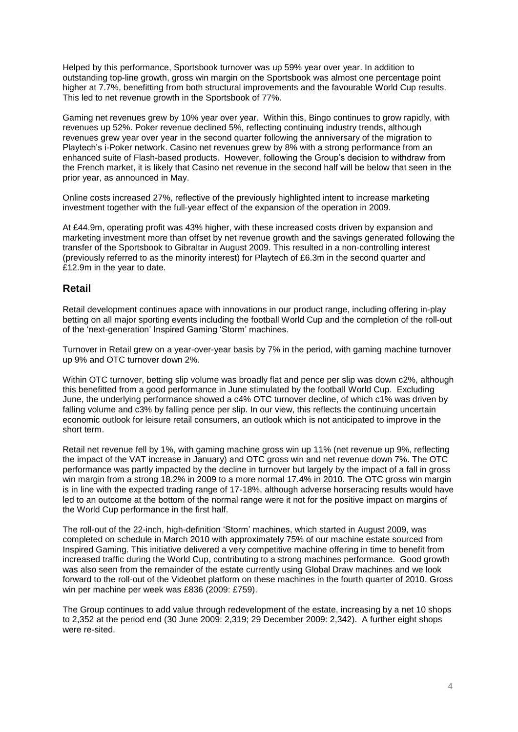Helped by this performance, Sportsbook turnover was up 59% year over year. In addition to outstanding top-line growth, gross win margin on the Sportsbook was almost one percentage point higher at 7.7%, benefitting from both structural improvements and the favourable World Cup results. This led to net revenue growth in the Sportsbook of 77%.

Gaming net revenues grew by 10% year over year. Within this, Bingo continues to grow rapidly, with revenues up 52%. Poker revenue declined 5%, reflecting continuing industry trends, although revenues grew year over year in the second quarter following the anniversary of the migration to Playtech's i-Poker network. Casino net revenues grew by 8% with a strong performance from an enhanced suite of Flash-based products. However, following the Group's decision to withdraw from the French market, it is likely that Casino net revenue in the second half will be below that seen in the prior year, as announced in May.

Online costs increased 27%, reflective of the previously highlighted intent to increase marketing investment together with the full-year effect of the expansion of the operation in 2009.

At £44.9m, operating profit was 43% higher, with these increased costs driven by expansion and marketing investment more than offset by net revenue growth and the savings generated following the transfer of the Sportsbook to Gibraltar in August 2009. This resulted in a non-controlling interest (previously referred to as the minority interest) for Playtech of £6.3m in the second quarter and £12.9m in the year to date.

#### **Retail**

Retail development continues apace with innovations in our product range, including offering in-play betting on all major sporting events including the football World Cup and the completion of the roll-out of the 'next-generation' Inspired Gaming 'Storm' machines.

Turnover in Retail grew on a year-over-year basis by 7% in the period, with gaming machine turnover up 9% and OTC turnover down 2%.

Within OTC turnover, betting slip volume was broadly flat and pence per slip was down c2%, although this benefitted from a good performance in June stimulated by the football World Cup. Excluding June, the underlying performance showed a c4% OTC turnover decline, of which c1% was driven by falling volume and c3% by falling pence per slip. In our view, this reflects the continuing uncertain economic outlook for leisure retail consumers, an outlook which is not anticipated to improve in the short term.

Retail net revenue fell by 1%, with gaming machine gross win up 11% (net revenue up 9%, reflecting the impact of the VAT increase in January) and OTC gross win and net revenue down 7%. The OTC performance was partly impacted by the decline in turnover but largely by the impact of a fall in gross win margin from a strong 18.2% in 2009 to a more normal 17.4% in 2010. The OTC gross win margin is in line with the expected trading range of 17-18%, although adverse horseracing results would have led to an outcome at the bottom of the normal range were it not for the positive impact on margins of the World Cup performance in the first half.

The roll-out of the 22-inch, high-definition 'Storm' machines, which started in August 2009, was completed on schedule in March 2010 with approximately 75% of our machine estate sourced from Inspired Gaming. This initiative delivered a very competitive machine offering in time to benefit from increased traffic during the World Cup, contributing to a strong machines performance. Good growth was also seen from the remainder of the estate currently using Global Draw machines and we look forward to the roll-out of the Videobet platform on these machines in the fourth quarter of 2010. Gross win per machine per week was £836 (2009: £759).

The Group continues to add value through redevelopment of the estate, increasing by a net 10 shops to 2,352 at the period end (30 June 2009: 2,319; 29 December 2009: 2,342). A further eight shops were re-sited.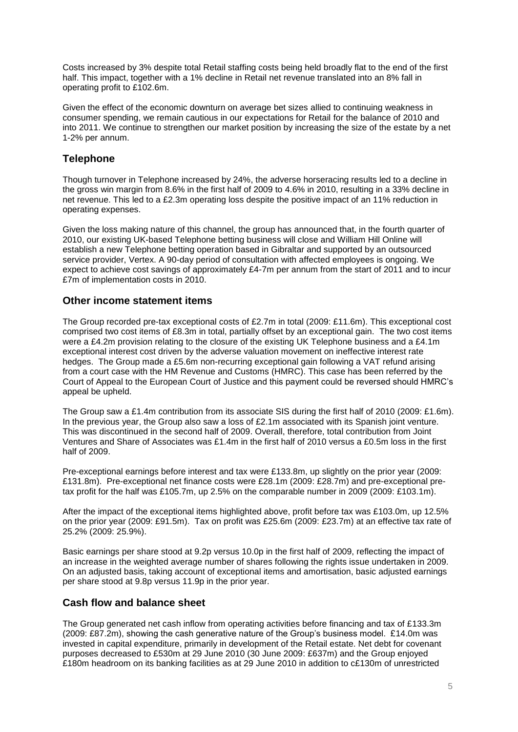Costs increased by 3% despite total Retail staffing costs being held broadly flat to the end of the first half. This impact, together with a 1% decline in Retail net revenue translated into an 8% fall in operating profit to £102.6m.

Given the effect of the economic downturn on average bet sizes allied to continuing weakness in consumer spending, we remain cautious in our expectations for Retail for the balance of 2010 and into 2011. We continue to strengthen our market position by increasing the size of the estate by a net 1-2% per annum.

## **Telephone**

Though turnover in Telephone increased by 24%, the adverse horseracing results led to a decline in the gross win margin from 8.6% in the first half of 2009 to 4.6% in 2010, resulting in a 33% decline in net revenue. This led to a £2.3m operating loss despite the positive impact of an 11% reduction in operating expenses.

Given the loss making nature of this channel, the group has announced that, in the fourth quarter of 2010, our existing UK-based Telephone betting business will close and William Hill Online will establish a new Telephone betting operation based in Gibraltar and supported by an outsourced service provider, Vertex. A 90-day period of consultation with affected employees is ongoing. We expect to achieve cost savings of approximately £4-7m per annum from the start of 2011 and to incur £7m of implementation costs in 2010.

### **Other income statement items**

The Group recorded pre-tax exceptional costs of £2.7m in total (2009: £11.6m). This exceptional cost comprised two cost items of £8.3m in total, partially offset by an exceptional gain. The two cost items were a £4.2m provision relating to the closure of the existing UK Telephone business and a £4.1m exceptional interest cost driven by the adverse valuation movement on ineffective interest rate hedges. The Group made a £5.6m non-recurring exceptional gain following a VAT refund arising from a court case with the HM Revenue and Customs (HMRC). This case has been referred by the Court of Appeal to the European Court of Justice and this payment could be reversed should HMRC's appeal be upheld.

The Group saw a £1.4m contribution from its associate SIS during the first half of 2010 (2009: £1.6m). In the previous year, the Group also saw a loss of £2.1m associated with its Spanish joint venture. This was discontinued in the second half of 2009. Overall, therefore, total contribution from Joint Ventures and Share of Associates was £1.4m in the first half of 2010 versus a £0.5m loss in the first half of 2009.

Pre-exceptional earnings before interest and tax were £133.8m, up slightly on the prior year (2009: £131.8m). Pre-exceptional net finance costs were £28.1m (2009: £28.7m) and pre-exceptional pretax profit for the half was £105.7m, up 2.5% on the comparable number in 2009 (2009: £103.1m).

After the impact of the exceptional items highlighted above, profit before tax was £103.0m, up 12.5% on the prior year (2009: £91.5m). Tax on profit was £25.6m (2009: £23.7m) at an effective tax rate of 25.2% (2009: 25.9%).

Basic earnings per share stood at 9.2p versus 10.0p in the first half of 2009, reflecting the impact of an increase in the weighted average number of shares following the rights issue undertaken in 2009. On an adjusted basis, taking account of exceptional items and amortisation, basic adjusted earnings per share stood at 9.8p versus 11.9p in the prior year.

## **Cash flow and balance sheet**

The Group generated net cash inflow from operating activities before financing and tax of £133.3m (2009: £87.2m), showing the cash generative nature of the Group's business model. £14.0m was invested in capital expenditure, primarily in development of the Retail estate. Net debt for covenant purposes decreased to £530m at 29 June 2010 (30 June 2009: £637m) and the Group enjoyed £180m headroom on its banking facilities as at 29 June 2010 in addition to c£130m of unrestricted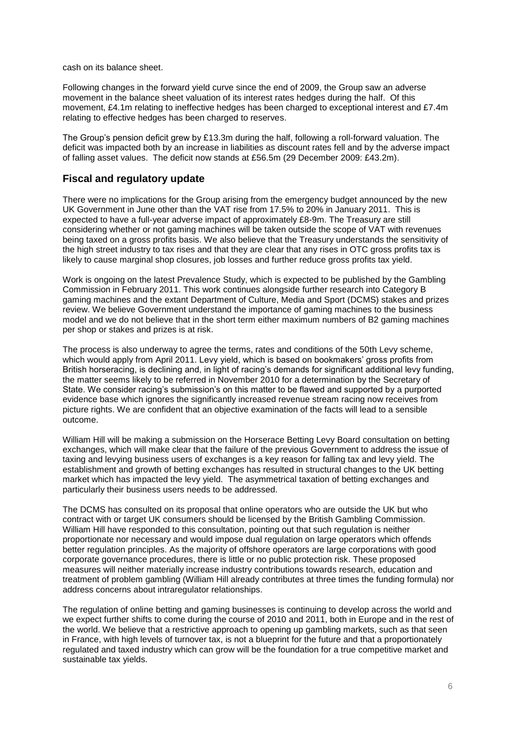cash on its balance sheet.

Following changes in the forward yield curve since the end of 2009, the Group saw an adverse movement in the balance sheet valuation of its interest rates hedges during the half. Of this movement, £4.1m relating to ineffective hedges has been charged to exceptional interest and £7.4m relating to effective hedges has been charged to reserves.

The Group's pension deficit grew by £13.3m during the half, following a roll-forward valuation. The deficit was impacted both by an increase in liabilities as discount rates fell and by the adverse impact of falling asset values. The deficit now stands at £56.5m (29 December 2009: £43.2m).

### **Fiscal and regulatory update**

There were no implications for the Group arising from the emergency budget announced by the new UK Government in June other than the VAT rise from 17.5% to 20% in January 2011. This is expected to have a full-year adverse impact of approximately £8-9m. The Treasury are still considering whether or not gaming machines will be taken outside the scope of VAT with revenues being taxed on a gross profits basis. We also believe that the Treasury understands the sensitivity of the high street industry to tax rises and that they are clear that any rises in OTC gross profits tax is likely to cause marginal shop closures, job losses and further reduce gross profits tax yield.

Work is ongoing on the latest Prevalence Study, which is expected to be published by the Gambling Commission in February 2011. This work continues alongside further research into Category B gaming machines and the extant Department of Culture, Media and Sport (DCMS) stakes and prizes review. We believe Government understand the importance of gaming machines to the business model and we do not believe that in the short term either maximum numbers of B2 gaming machines per shop or stakes and prizes is at risk.

The process is also underway to agree the terms, rates and conditions of the 50th Levy scheme. which would apply from April 2011. Levy yield, which is based on bookmakers' gross profits from British horseracing, is declining and, in light of racing's demands for significant additional levy funding, the matter seems likely to be referred in November 2010 for a determination by the Secretary of State. We consider racing's submission's on this matter to be flawed and supported by a purported evidence base which ignores the significantly increased revenue stream racing now receives from picture rights. We are confident that an objective examination of the facts will lead to a sensible outcome.

William Hill will be making a submission on the Horserace Betting Levy Board consultation on betting exchanges, which will make clear that the failure of the previous Government to address the issue of taxing and levying business users of exchanges is a key reason for falling tax and levy yield. The establishment and growth of betting exchanges has resulted in structural changes to the UK betting market which has impacted the levy yield. The asymmetrical taxation of betting exchanges and particularly their business users needs to be addressed.

The DCMS has consulted on its proposal that online operators who are outside the UK but who contract with or target UK consumers should be licensed by the British Gambling Commission. William Hill have responded to this consultation, pointing out that such regulation is neither proportionate nor necessary and would impose dual regulation on large operators which offends better regulation principles. As the majority of offshore operators are large corporations with good corporate governance procedures, there is little or no public protection risk. These proposed measures will neither materially increase industry contributions towards research, education and treatment of problem gambling (William Hill already contributes at three times the funding formula) nor address concerns about intraregulator relationships.

The regulation of online betting and gaming businesses is continuing to develop across the world and we expect further shifts to come during the course of 2010 and 2011, both in Europe and in the rest of the world. We believe that a restrictive approach to opening up gambling markets, such as that seen in France, with high levels of turnover tax, is not a blueprint for the future and that a proportionately regulated and taxed industry which can grow will be the foundation for a true competitive market and sustainable tax yields.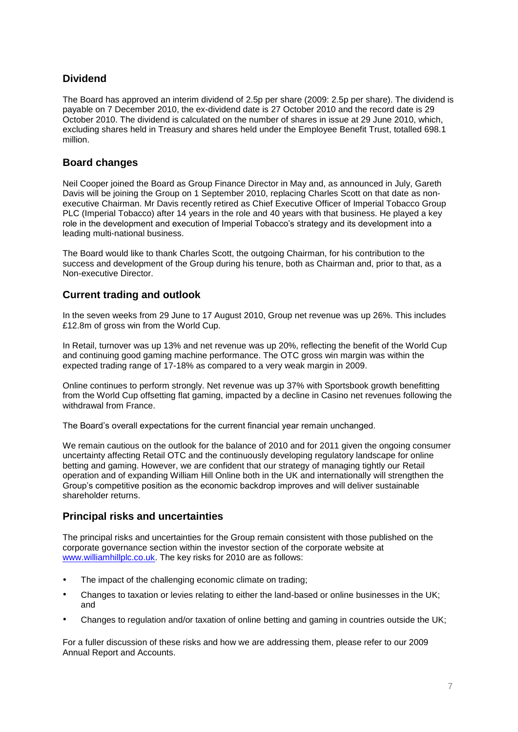# **Dividend**

The Board has approved an interim dividend of 2.5p per share (2009: 2.5p per share). The dividend is payable on 7 December 2010, the ex-dividend date is 27 October 2010 and the record date is 29 October 2010. The dividend is calculated on the number of shares in issue at 29 June 2010, which, excluding shares held in Treasury and shares held under the Employee Benefit Trust, totalled 698.1 million.

## **Board changes**

Neil Cooper joined the Board as Group Finance Director in May and, as announced in July, Gareth Davis will be joining the Group on 1 September 2010, replacing Charles Scott on that date as nonexecutive Chairman. Mr Davis recently retired as Chief Executive Officer of Imperial Tobacco Group PLC (Imperial Tobacco) after 14 years in the role and 40 years with that business. He played a key role in the development and execution of Imperial Tobacco's strategy and its development into a leading multi-national business.

The Board would like to thank Charles Scott, the outgoing Chairman, for his contribution to the success and development of the Group during his tenure, both as Chairman and, prior to that, as a Non-executive Director.

## **Current trading and outlook**

In the seven weeks from 29 June to 17 August 2010, Group net revenue was up 26%. This includes £12.8m of gross win from the World Cup.

In Retail, turnover was up 13% and net revenue was up 20%, reflecting the benefit of the World Cup and continuing good gaming machine performance. The OTC gross win margin was within the expected trading range of 17-18% as compared to a very weak margin in 2009.

Online continues to perform strongly. Net revenue was up 37% with Sportsbook growth benefitting from the World Cup offsetting flat gaming, impacted by a decline in Casino net revenues following the withdrawal from France.

The Board's overall expectations for the current financial year remain unchanged.

We remain cautious on the outlook for the balance of 2010 and for 2011 given the ongoing consumer uncertainty affecting Retail OTC and the continuously developing regulatory landscape for online betting and gaming. However, we are confident that our strategy of managing tightly our Retail operation and of expanding William Hill Online both in the UK and internationally will strengthen the Group's competitive position as the economic backdrop improves and will deliver sustainable shareholder returns.

## **Principal risks and uncertainties**

The principal risks and uncertainties for the Group remain consistent with those published on the corporate governance section within the investor section of the corporate website at [www.williamhillplc.co.uk.](http://www.williamhillplc.co.uk/) The key risks for 2010 are as follows:

- The impact of the challenging economic climate on trading;
- Changes to taxation or levies relating to either the land-based or online businesses in the UK; and
- Changes to regulation and/or taxation of online betting and gaming in countries outside the UK;

For a fuller discussion of these risks and how we are addressing them, please refer to our 2009 Annual Report and Accounts.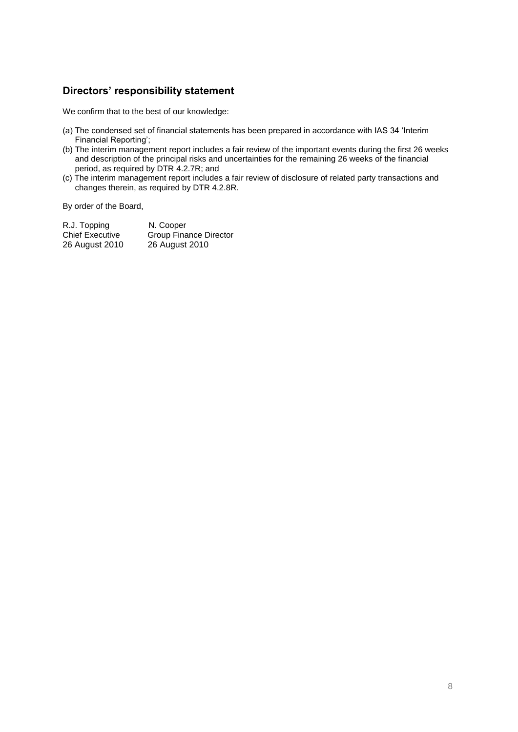# **Directors' responsibility statement**

We confirm that to the best of our knowledge:

- (a) The condensed set of financial statements has been prepared in accordance with IAS 34 'Interim Financial Reporting';
- (b) The interim management report includes a fair review of the important events during the first 26 weeks and description of the principal risks and uncertainties for the remaining 26 weeks of the financial period, as required by DTR 4.2.7R; and
- (c) The interim management report includes a fair review of disclosure of related party transactions and changes therein, as required by DTR 4.2.8R.

By order of the Board,

| R.J. Topping           | N. Cooper              |
|------------------------|------------------------|
| <b>Chief Executive</b> | Group Finance Director |
| 26 August 2010         | 26 August 2010         |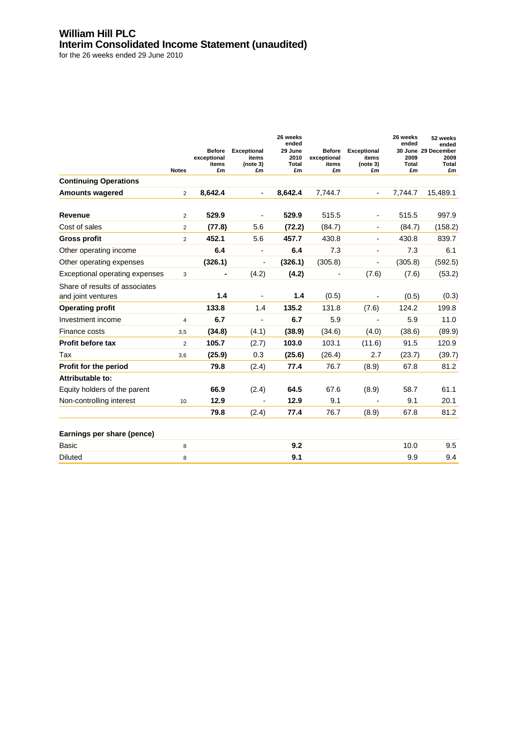## **William Hill PLC Interim Consolidated Income Statement (unaudited)**

|                                                      |                |                                             |                                               | 26 weeks<br>ended              |                                             |                                               | 26 weeks<br>ended   | 52 weeks<br>ended                          |
|------------------------------------------------------|----------------|---------------------------------------------|-----------------------------------------------|--------------------------------|---------------------------------------------|-----------------------------------------------|---------------------|--------------------------------------------|
|                                                      | <b>Notes</b>   | <b>Before</b><br>exceptional<br>items<br>£m | <b>Exceptional</b><br>items<br>(note 3)<br>£m | 29 June<br>2010<br>Total<br>£m | <b>Before</b><br>exceptional<br>items<br>£m | <b>Exceptional</b><br>items<br>(note 3)<br>£m | 2009<br>Total<br>£m | 30 June 29 December<br>2009<br>Total<br>£m |
| <b>Continuing Operations</b>                         |                |                                             |                                               |                                |                                             |                                               |                     |                                            |
| <b>Amounts wagered</b>                               | 2              | 8,642.4                                     | $\blacksquare$                                | 8,642.4                        | 7,744.7                                     | $\overline{\phantom{0}}$                      | 7.744.7             | 15,489.1                                   |
| Revenue                                              | $\overline{2}$ | 529.9                                       | $\overline{\phantom{a}}$                      | 529.9                          | 515.5                                       | $\overline{\phantom{a}}$                      | 515.5               | 997.9                                      |
| Cost of sales                                        | $\overline{2}$ | (77.8)                                      | 5.6                                           | (72.2)                         | (84.7)                                      |                                               | (84.7)              | (158.2)                                    |
| <b>Gross profit</b>                                  | $\overline{2}$ | 452.1                                       | 5.6                                           | 457.7                          | 430.8                                       | $\blacksquare$                                | 430.8               | 839.7                                      |
| Other operating income                               |                | 6.4                                         | $\blacksquare$                                | 6.4                            | 7.3                                         | $\blacksquare$                                | 7.3                 | 6.1                                        |
| Other operating expenses                             |                | (326.1)                                     |                                               | (326.1)                        | (305.8)                                     | L,                                            | (305.8)             | (592.5)                                    |
| Exceptional operating expenses                       | 3              | -                                           | (4.2)                                         | (4.2)                          | $\overline{\phantom{a}}$                    | (7.6)                                         | (7.6)               | (53.2)                                     |
| Share of results of associates<br>and joint ventures |                | 1.4                                         | $\overline{\phantom{a}}$                      | 1.4                            | (0.5)                                       | $\overline{\phantom{a}}$                      | (0.5)               | (0.3)                                      |
| <b>Operating profit</b>                              |                | 133.8                                       | 1.4                                           | 135.2                          | 131.8                                       | (7.6)                                         | 124.2               | 199.8                                      |
| Investment income                                    | $\overline{4}$ | 6.7                                         | $\blacksquare$                                | 6.7                            | 5.9                                         | $\blacksquare$                                | 5.9                 | 11.0                                       |
| Finance costs                                        | 3,5            | (34.8)                                      | (4.1)                                         | (38.9)                         | (34.6)                                      | (4.0)                                         | (38.6)              | (89.9)                                     |
| Profit before tax                                    | $\overline{2}$ | 105.7                                       | (2.7)                                         | 103.0                          | 103.1                                       | (11.6)                                        | 91.5                | 120.9                                      |
| Tax                                                  | 3,6            | (25.9)                                      | 0.3                                           | (25.6)                         | (26.4)                                      | 2.7                                           | (23.7)              | (39.7)                                     |
| Profit for the period                                |                | 79.8                                        | (2.4)                                         | 77.4                           | 76.7                                        | (8.9)                                         | 67.8                | 81.2                                       |
| Attributable to:                                     |                |                                             |                                               |                                |                                             |                                               |                     |                                            |
| Equity holders of the parent                         |                | 66.9                                        | (2.4)                                         | 64.5                           | 67.6                                        | (8.9)                                         | 58.7                | 61.1                                       |
| Non-controlling interest                             | 10             | 12.9                                        |                                               | 12.9                           | 9.1                                         |                                               | 9.1                 | 20.1                                       |
|                                                      |                | 79.8                                        | (2.4)                                         | 77.4                           | 76.7                                        | (8.9)                                         | 67.8                | 81.2                                       |
| Earnings per share (pence)                           |                |                                             |                                               |                                |                                             |                                               |                     |                                            |
| Basic                                                | 8              |                                             |                                               | 9.2                            |                                             |                                               | 10.0                | 9.5                                        |
| <b>Diluted</b>                                       | 8              |                                             |                                               | 9.1                            |                                             |                                               | 9.9                 | 9.4                                        |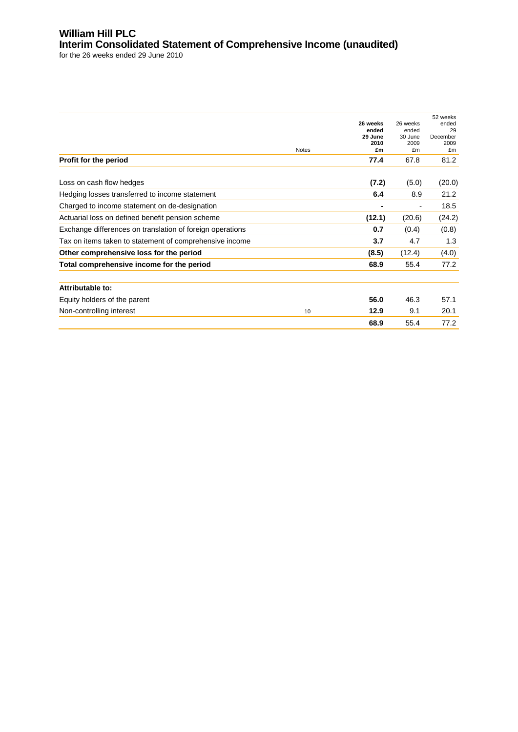# **William Hill PLC Interim Consolidated Statement of Comprehensive Income (unaudited)**

| <b>Notes</b>                                              | 26 weeks<br>ended<br>29 June<br>2010<br>£m | 26 weeks<br>ended<br>30 June<br>2009<br>£m | 52 weeks<br>ended<br>29<br>December<br>2009<br>£m |
|-----------------------------------------------------------|--------------------------------------------|--------------------------------------------|---------------------------------------------------|
| Profit for the period                                     | 77.4                                       | 67.8                                       | 81.2                                              |
| Loss on cash flow hedges                                  | (7.2)                                      | (5.0)                                      | (20.0)                                            |
| Hedging losses transferred to income statement            | 6.4                                        | 8.9                                        | 21.2                                              |
| Charged to income statement on de-designation             | ٠                                          | $\overline{a}$                             | 18.5                                              |
| Actuarial loss on defined benefit pension scheme          | (12.1)                                     | (20.6)                                     | (24.2)                                            |
| Exchange differences on translation of foreign operations | 0.7                                        | (0.4)                                      | (0.8)                                             |
| Tax on items taken to statement of comprehensive income   | 3.7                                        | 4.7                                        | 1.3                                               |
| Other comprehensive loss for the period                   | (8.5)                                      | (12.4)                                     | (4.0)                                             |
| Total comprehensive income for the period                 | 68.9                                       | 55.4                                       | 77.2                                              |
| <b>Attributable to:</b>                                   |                                            |                                            |                                                   |
| Equity holders of the parent                              | 56.0                                       | 46.3                                       | 57.1                                              |
| Non-controlling interest<br>10                            | 12.9                                       | 9.1                                        | 20.1                                              |
|                                                           | 68.9                                       | 55.4                                       | 77.2                                              |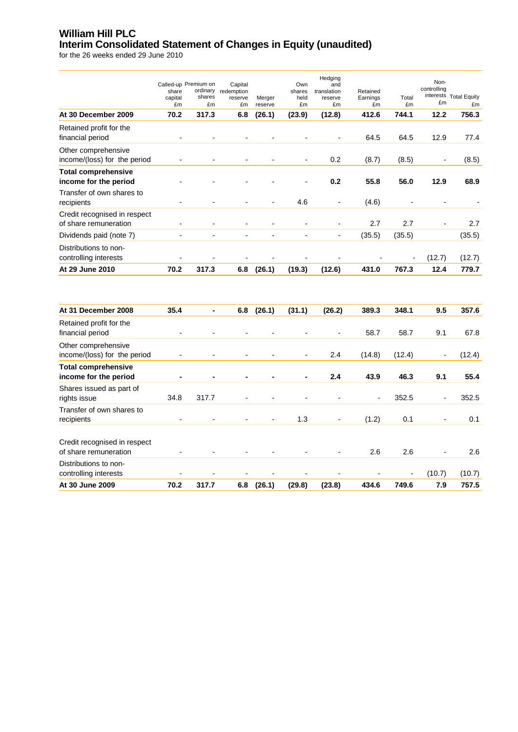## **William Hill PLC Interim Consolidated Statement of Changes in Equity (unaudited)**

|                                                       | share<br>capital<br>£m   | Called-up Premium on<br>ordinary<br>shares<br>£m | Capital<br>redemption<br>reserve<br>£m | Merger<br>reserve | Own<br>shares<br>held<br>£m | Hedging<br>and<br>translation<br>reserve<br>£m | Retained<br>Earnings<br>£m | Total<br>£m | Non-<br>controlling<br>£m | interests Total Equity<br>£m |
|-------------------------------------------------------|--------------------------|--------------------------------------------------|----------------------------------------|-------------------|-----------------------------|------------------------------------------------|----------------------------|-------------|---------------------------|------------------------------|
| At 30 December 2009                                   | 70.2                     | 317.3                                            | 6.8                                    | (26.1)            | (23.9)                      | (12.8)                                         | 412.6                      | 744.1       | 12.2                      | 756.3                        |
| Retained profit for the<br>financial period           | $\overline{\phantom{a}}$ |                                                  |                                        |                   |                             |                                                | 64.5                       | 64.5        | 12.9                      | 77.4                         |
| Other comprehensive<br>income/(loss) for the period   |                          |                                                  |                                        |                   |                             | 0.2                                            | (8.7)                      | (8.5)       |                           | (8.5)                        |
| <b>Total comprehensive</b><br>income for the period   |                          |                                                  |                                        |                   |                             | 0.2                                            | 55.8                       | 56.0        | 12.9                      | 68.9                         |
| Transfer of own shares to<br>recipients               |                          |                                                  |                                        |                   | 4.6                         | $\overline{\phantom{0}}$                       | (4.6)                      |             | $\overline{a}$            |                              |
| Credit recognised in respect<br>of share remuneration |                          |                                                  | $\blacksquare$                         |                   |                             | $\overline{a}$                                 | 2.7                        | 2.7         |                           | 2.7                          |
| Dividends paid (note 7)                               | ÷,                       |                                                  | L,                                     |                   | ÷,                          | $\overline{\phantom{0}}$                       | (35.5)                     | (35.5)      |                           | (35.5)                       |
| Distributions to non-<br>controlling interests        |                          |                                                  |                                        |                   |                             |                                                |                            |             | (12.7)                    | (12.7)                       |
| At 29 June 2010                                       | 70.2                     | 317.3                                            | 6.8                                    | (26.1)            | (19.3)                      | (12.6)                                         | 431.0                      | 767.3       | 12.4                      | 779.7                        |
| At 31 December 2008                                   | 35.4                     | $\blacksquare$                                   | 6.8                                    | (26.1)            | (31.1)                      | (26.2)                                         | 389.3                      | 348.1       | 9.5                       | 357.6                        |
| Retained profit for the<br>financial period           |                          |                                                  |                                        |                   |                             | $\overline{a}$                                 | 58.7                       | 58.7        | 9.1                       | 67.8                         |
| Other comprehensive<br>income/(loss) for the period   |                          |                                                  | $\overline{a}$                         |                   | $\blacksquare$              | 2.4                                            | (14.8)                     | (12.4)      | $\overline{\phantom{a}}$  | (12.4)                       |
| <b>Total comprehensive</b><br>income for the period   |                          |                                                  |                                        |                   | $\blacksquare$              | 2.4                                            | 43.9                       | 46.3        | 9.1                       | 55.4                         |
| Shares issued as part of<br>rights issue              | 34.8                     | 317.7                                            |                                        |                   |                             | $\overline{a}$                                 | $\overline{\phantom{a}}$   | 352.5       | $\overline{\phantom{a}}$  | 352.5                        |
| Transfer of own shares to<br>recipients               |                          |                                                  |                                        |                   | 1.3                         |                                                | (1.2)                      | 0.1         | L,                        | 0.1                          |
| Credit recognised in respect<br>of share remuneration |                          |                                                  | $\overline{\phantom{a}}$               |                   |                             |                                                | 2.6                        | 2.6         | ÷                         | 2.6                          |
| Distributions to non-<br>controlling interests        |                          |                                                  |                                        |                   |                             |                                                |                            |             | (10.7)                    | (10.7)                       |
| At 30 June 2009                                       | 70.2                     | 317.7                                            | 6.8                                    | (26.1)            | (29.8)                      | (23.8)                                         | 434.6                      | 749.6       | 7.9                       | 757.5                        |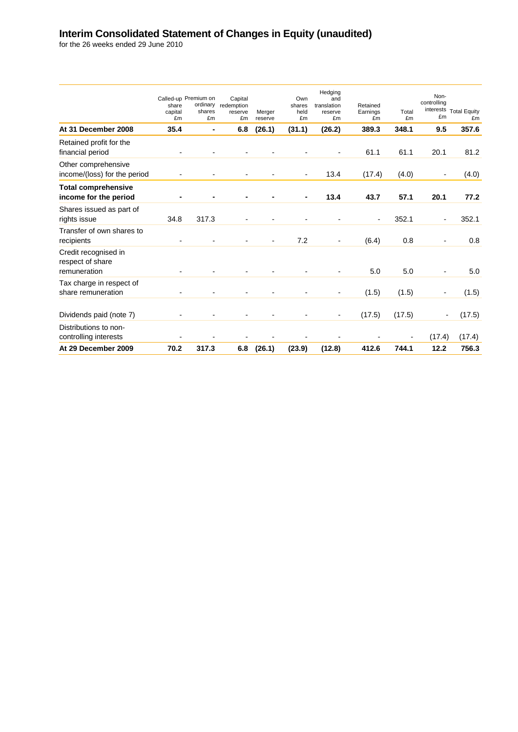### **Interim Consolidated Statement of Changes in Equity (unaudited)**

|                                                          | share<br>capital<br>£m   | Called-up Premium on<br>ordinary<br>shares<br>£m | Capital<br>redemption<br>reserve<br>£m | Merger<br>reserve | Own<br>shares<br>held<br>£m | Hedging<br>and<br>translation<br>reserve<br>£m | Retained<br>Earnings<br>£m | Total<br>£m | Non-<br>controlling<br>£m | interests Total Equity<br>£m |
|----------------------------------------------------------|--------------------------|--------------------------------------------------|----------------------------------------|-------------------|-----------------------------|------------------------------------------------|----------------------------|-------------|---------------------------|------------------------------|
| At 31 December 2008                                      | 35.4                     | ٠                                                | 6.8                                    | (26.1)            | (31.1)                      | (26.2)                                         | 389.3                      | 348.1       | 9.5                       | 357.6                        |
| Retained profit for the<br>financial period              |                          |                                                  |                                        |                   |                             |                                                | 61.1                       | 61.1        | 20.1                      | 81.2                         |
| Other comprehensive<br>income/(loss) for the period      | $\overline{\phantom{a}}$ | $\overline{\phantom{0}}$                         | $\overline{\phantom{a}}$               |                   | $\blacksquare$              | 13.4                                           | (17.4)                     | (4.0)       | $\blacksquare$            | (4.0)                        |
| <b>Total comprehensive</b><br>income for the period      |                          |                                                  |                                        |                   |                             | 13.4                                           | 43.7                       | 57.1        | 20.1                      | 77.2                         |
| Shares issued as part of<br>rights issue                 | 34.8                     | 317.3                                            |                                        |                   |                             |                                                | ÷,                         | 352.1       |                           | 352.1                        |
| Transfer of own shares to<br>recipients                  |                          |                                                  |                                        |                   | 7.2                         | $\overline{\phantom{0}}$                       | (6.4)                      | 0.8         |                           | 0.8                          |
| Credit recognised in<br>respect of share<br>remuneration |                          |                                                  |                                        |                   |                             |                                                | 5.0                        | 5.0         |                           | 5.0                          |
| Tax charge in respect of<br>share remuneration           |                          |                                                  |                                        |                   |                             | $\overline{a}$                                 | (1.5)                      | (1.5)       |                           | (1.5)                        |
| Dividends paid (note 7)                                  |                          |                                                  |                                        |                   |                             | $\overline{\phantom{a}}$                       | (17.5)                     | (17.5)      | ۰                         | (17.5)                       |
| Distributions to non-<br>controlling interests           |                          |                                                  |                                        |                   |                             |                                                |                            |             | (17.4)                    | (17.4)                       |
| At 29 December 2009                                      | 70.2                     | 317.3                                            | 6.8                                    | (26.1)            | (23.9)                      | (12.8)                                         | 412.6                      | 744.1       | 12.2                      | 756.3                        |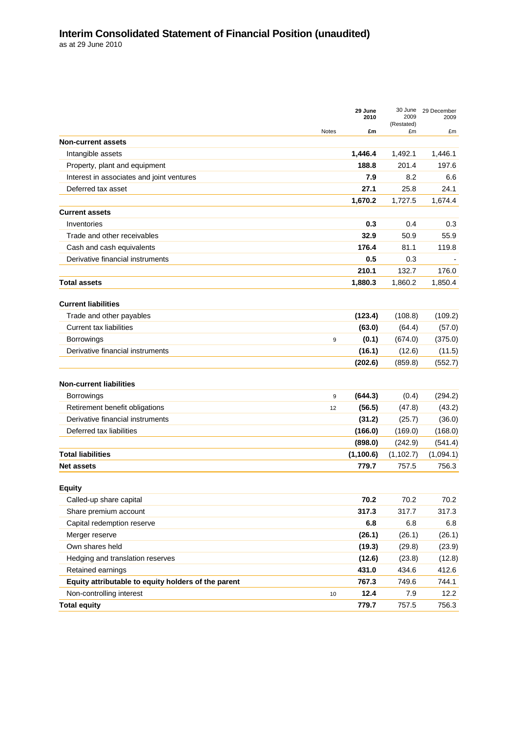|                                                     |              | 29 June<br>2010 | 30 June<br>2009<br>(Restated) | 29 December<br>2009 |
|-----------------------------------------------------|--------------|-----------------|-------------------------------|---------------------|
|                                                     | <b>Notes</b> | £m              | £m                            | £m                  |
| <b>Non-current assets</b>                           |              |                 |                               |                     |
| Intangible assets                                   |              | 1,446.4         | 1,492.1                       | 1,446.1             |
| Property, plant and equipment                       |              | 188.8           | 201.4                         | 197.6               |
| Interest in associates and joint ventures           |              | 7.9             | 8.2                           | 6.6                 |
| Deferred tax asset                                  |              | 27.1            | 25.8                          | 24.1                |
|                                                     |              | 1,670.2         | 1,727.5                       | 1,674.4             |
| <b>Current assets</b>                               |              |                 |                               |                     |
| Inventories                                         |              | 0.3             | 0.4                           | 0.3                 |
| Trade and other receivables                         |              | 32.9            | 50.9                          | 55.9                |
| Cash and cash equivalents                           |              | 176.4           | 81.1                          | 119.8               |
| Derivative financial instruments                    |              | 0.5             | 0.3                           |                     |
|                                                     |              | 210.1           | 132.7                         | 176.0               |
| <b>Total assets</b>                                 |              | 1,880.3         | 1,860.2                       | 1,850.4             |
|                                                     |              |                 |                               |                     |
| <b>Current liabilities</b>                          |              |                 |                               |                     |
| Trade and other payables                            |              | (123.4)         | (108.8)                       | (109.2)             |
| <b>Current tax liabilities</b>                      |              | (63.0)          | (64.4)                        | (57.0)              |
| Borrowings                                          | 9            | (0.1)           | (674.0)                       | (375.0)             |
| Derivative financial instruments                    |              | (16.1)          | (12.6)                        | (11.5)              |
|                                                     |              | (202.6)         | (859.8)                       | (552.7)             |
| <b>Non-current liabilities</b>                      |              |                 |                               |                     |
| <b>Borrowings</b>                                   | 9            | (644.3)         | (0.4)                         | (294.2)             |
| Retirement benefit obligations                      | 12           | (56.5)          | (47.8)                        | (43.2)              |
| Derivative financial instruments                    |              | (31.2)          | (25.7)                        | (36.0)              |
| Deferred tax liabilities                            |              | (166.0)         | (169.0)                       | (168.0)             |
|                                                     |              | (898.0)         | (242.9)                       | (541.4)             |
| <b>Total liabilities</b>                            |              | (1, 100.6)      | (1, 102.7)                    | (1,094.1)           |
| <b>Net assets</b>                                   |              | 779.7           | 757.5                         | 756.3               |
| <b>Equity</b>                                       |              |                 |                               |                     |
| Called-up share capital                             |              | 70.2            | 70.2                          | 70.2                |
| Share premium account                               |              | 317.3           | 317.7                         | 317.3               |
| Capital redemption reserve                          |              | 6.8             | 6.8                           | 6.8                 |
| Merger reserve                                      |              | (26.1)          | (26.1)                        | (26.1)              |
| Own shares held                                     |              | (19.3)          | (29.8)                        | (23.9)              |
| Hedging and translation reserves                    |              | (12.6)          | (23.8)                        | (12.8)              |
| Retained earnings                                   |              | 431.0           | 434.6                         | 412.6               |
| Equity attributable to equity holders of the parent |              | 767.3           | 749.6                         | 744.1               |
| Non-controlling interest                            |              | 12.4            | 7.9                           | 12.2                |
|                                                     | 10           |                 |                               |                     |
| <b>Total equity</b>                                 |              | 779.7           | 757.5                         | 756.3               |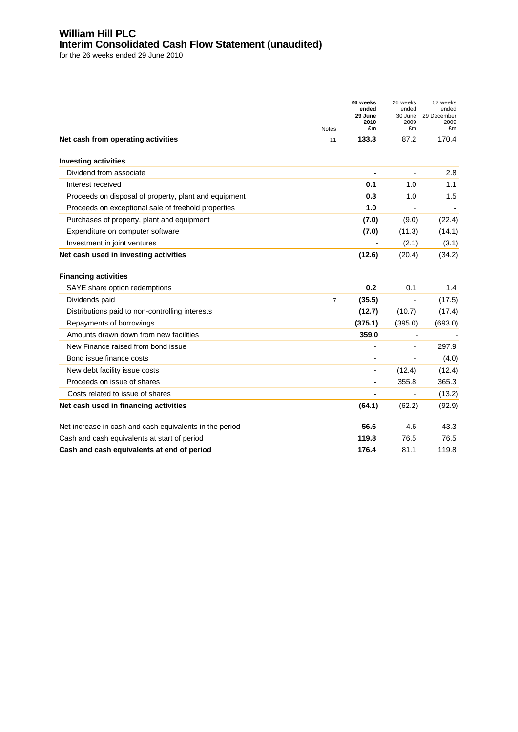#### **William Hill PLC Interim Consolidated Cash Flow Statement (unaudited)**

|                                                                    | Notes          | 26 weeks<br>ended<br>29 June<br>2010<br>£m | 26 weeks<br>ended<br>30 June<br>2009<br>£m | 52 weeks<br>ended<br>29 December<br>2009<br>£m |
|--------------------------------------------------------------------|----------------|--------------------------------------------|--------------------------------------------|------------------------------------------------|
| Net cash from operating activities                                 | 11             | 133.3                                      | 87.2                                       | 170.4                                          |
| <b>Investing activities</b>                                        |                |                                            |                                            |                                                |
| Dividend from associate                                            |                |                                            |                                            | 2.8                                            |
| Interest received                                                  |                | 0.1                                        | 1.0                                        | 1.1                                            |
| Proceeds on disposal of property, plant and equipment              |                | 0.3                                        | 1.0                                        | 1.5                                            |
| Proceeds on exceptional sale of freehold properties                |                | 1.0                                        |                                            |                                                |
| Purchases of property, plant and equipment                         |                | (7.0)                                      | (9.0)                                      | (22.4)                                         |
| Expenditure on computer software                                   |                | (7.0)                                      | (11.3)                                     | (14.1)                                         |
| Investment in joint ventures                                       |                | ۰                                          | (2.1)                                      | (3.1)                                          |
| Net cash used in investing activities                              |                | (12.6)                                     | (20.4)                                     | (34.2)                                         |
| <b>Financing activities</b>                                        |                | 0.2                                        | 0.1                                        | 1.4                                            |
| SAYE share option redemptions                                      |                |                                            |                                            |                                                |
| Dividends paid                                                     | $\overline{7}$ | (35.5)                                     | ÷,                                         | (17.5)                                         |
| Distributions paid to non-controlling interests                    |                | (12.7)                                     | (10.7)                                     | (17.4)                                         |
| Repayments of borrowings<br>Amounts drawn down from new facilities |                | (375.1)<br>359.0                           | (395.0)                                    | (693.0)                                        |
| New Finance raised from bond issue                                 |                |                                            |                                            | 297.9                                          |
| Bond issue finance costs                                           |                |                                            | $\overline{\phantom{a}}$                   | (4.0)                                          |
| New debt facility issue costs                                      |                |                                            | (12.4)                                     | (12.4)                                         |
| Proceeds on issue of shares                                        |                |                                            | 355.8                                      | 365.3                                          |
| Costs related to issue of shares                                   |                |                                            |                                            | (13.2)                                         |
| Net cash used in financing activities                              |                | (64.1)                                     | (62.2)                                     | (92.9)                                         |
|                                                                    |                |                                            |                                            |                                                |
| Net increase in cash and cash equivalents in the period            |                | 56.6                                       | 4.6                                        | 43.3                                           |
| Cash and cash equivalents at start of period                       |                | 119.8                                      | 76.5                                       | 76.5                                           |
| Cash and cash equivalents at end of period                         |                | 176.4                                      | 81.1                                       | 119.8                                          |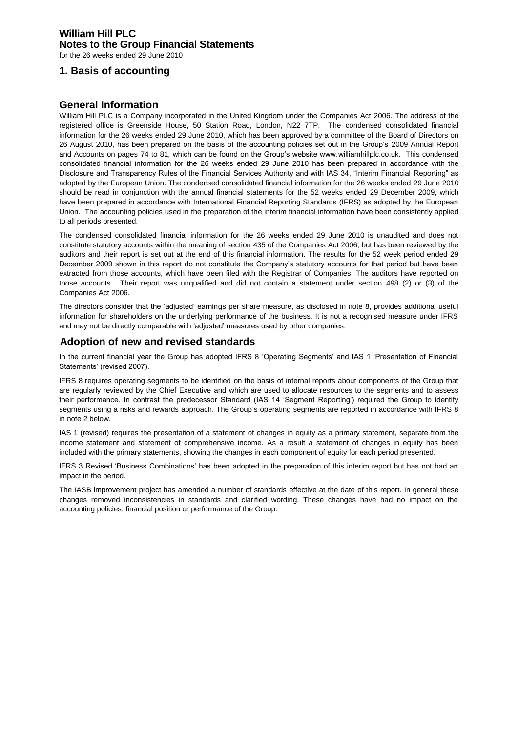#### **William Hill PLC Notes to the Group Financial Statements**

for the 26 weeks ended 29 June 2010

## **1. Basis of accounting**

#### **General Information**

William Hill PLC is a Company incorporated in the United Kingdom under the Companies Act 2006. The address of the registered office is Greenside House, 50 Station Road, London, N22 7TP. The condensed consolidated financial information for the 26 weeks ended 29 June 2010, which has been approved by a committee of the Board of Directors on 26 August 2010, has been prepared on the basis of the accounting policies set out in the Group"s 2009 Annual Report and Accounts on pages 74 to 81, which can be found on the Group"s website www.williamhillplc.co.uk. This condensed consolidated financial information for the 26 weeks ended 29 June 2010 has been prepared in accordance with the Disclosure and Transparency Rules of the Financial Services Authority and with IAS 34, "Interim Financial Reporting" as adopted by the European Union. The condensed consolidated financial information for the 26 weeks ended 29 June 2010 should be read in conjunction with the annual financial statements for the 52 weeks ended 29 December 2009, which have been prepared in accordance with International Financial Reporting Standards (IFRS) as adopted by the European Union. The accounting policies used in the preparation of the interim financial information have been consistently applied to all periods presented.

The condensed consolidated financial information for the 26 weeks ended 29 June 2010 is unaudited and does not constitute statutory accounts within the meaning of section 435 of the Companies Act 2006, but has been reviewed by the auditors and their report is set out at the end of this financial information. The results for the 52 week period ended 29 December 2009 shown in this report do not constitute the Company"s statutory accounts for that period but have been extracted from those accounts, which have been filed with the Registrar of Companies. The auditors have reported on those accounts. Their report was unqualified and did not contain a statement under section 498 (2) or (3) of the Companies Act 2006.

The directors consider that the "adjusted" earnings per share measure, as disclosed in note 8, provides additional useful information for shareholders on the underlying performance of the business. It is not a recognised measure under IFRS and may not be directly comparable with "adjusted" measures used by other companies.

### <sup>B</sup>**Adoption of new and revised standards**

In the current financial year the Group has adopted IFRS 8 'Operating Segments' and IAS 1 'Presentation of Financial Statements' (revised 2007).

IFRS 8 requires operating segments to be identified on the basis of internal reports about components of the Group that are regularly reviewed by the Chief Executive and which are used to allocate resources to the segments and to assess their performance. In contrast the predecessor Standard (IAS 14 "Segment Reporting") required the Group to identify segments using a risks and rewards approach. The Group's operating segments are reported in accordance with IFRS 8 in note 2 below.

IAS 1 (revised) requires the presentation of a statement of changes in equity as a primary statement, separate from the income statement and statement of comprehensive income. As a result a statement of changes in equity has been included with the primary statements, showing the changes in each component of equity for each period presented.

IFRS 3 Revised "Business Combinations" has been adopted in the preparation of this interim report but has not had an impact in the period.

The IASB improvement project has amended a number of standards effective at the date of this report. In general these changes removed inconsistencies in standards and clarified wording. These changes have had no impact on the accounting policies, financial position or performance of the Group.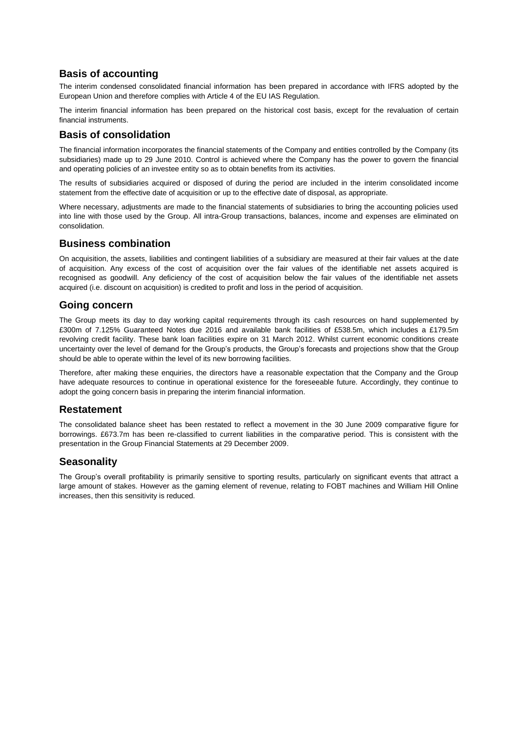#### **Basis of accounting**

The interim condensed consolidated financial information has been prepared in accordance with IFRS adopted by the European Union and therefore complies with Article 4 of the EU IAS Regulation.

The interim financial information has been prepared on the historical cost basis, except for the revaluation of certain financial instruments.

#### **Basis of consolidation**

The financial information incorporates the financial statements of the Company and entities controlled by the Company (its subsidiaries) made up to 29 June 2010. Control is achieved where the Company has the power to govern the financial and operating policies of an investee entity so as to obtain benefits from its activities.

The results of subsidiaries acquired or disposed of during the period are included in the interim consolidated income statement from the effective date of acquisition or up to the effective date of disposal, as appropriate.

Where necessary, adjustments are made to the financial statements of subsidiaries to bring the accounting policies used into line with those used by the Group. All intra-Group transactions, balances, income and expenses are eliminated on consolidation.

#### **Business combination**

On acquisition, the assets, liabilities and contingent liabilities of a subsidiary are measured at their fair values at the date of acquisition. Any excess of the cost of acquisition over the fair values of the identifiable net assets acquired is recognised as goodwill. Any deficiency of the cost of acquisition below the fair values of the identifiable net assets acquired (i.e. discount on acquisition) is credited to profit and loss in the period of acquisition.

#### **Going concern**

The Group meets its day to day working capital requirements through its cash resources on hand supplemented by £300m of 7.125% Guaranteed Notes due 2016 and available bank facilities of £538.5m, which includes a £179.5m revolving credit facility. These bank loan facilities expire on 31 March 2012. Whilst current economic conditions create uncertainty over the level of demand for the Group"s products, the Group"s forecasts and projections show that the Group should be able to operate within the level of its new borrowing facilities.

Therefore, after making these enquiries, the directors have a reasonable expectation that the Company and the Group have adequate resources to continue in operational existence for the foreseeable future. Accordingly, they continue to adopt the going concern basis in preparing the interim financial information.

#### **Restatement**

The consolidated balance sheet has been restated to reflect a movement in the 30 June 2009 comparative figure for borrowings. £673.7m has been re-classified to current liabilities in the comparative period. This is consistent with the presentation in the Group Financial Statements at 29 December 2009.

#### **Seasonality**

The Group"s overall profitability is primarily sensitive to sporting results, particularly on significant events that attract a large amount of stakes. However as the gaming element of revenue, relating to FOBT machines and William Hill Online increases, then this sensitivity is reduced.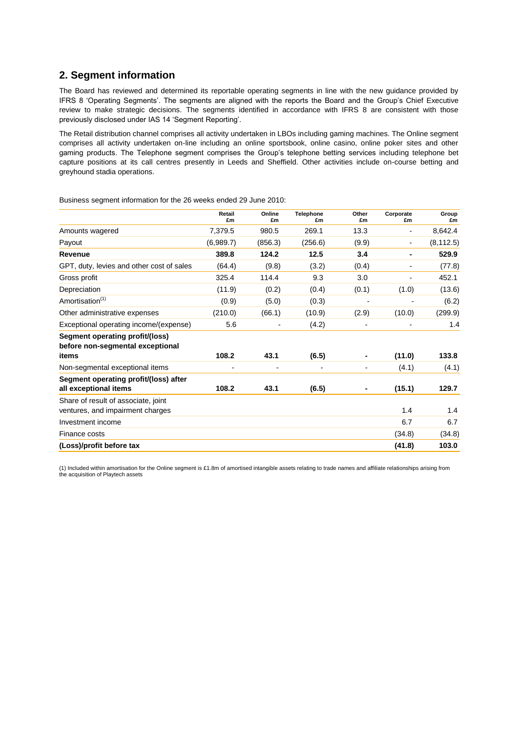### **2. Segment information**

The Board has reviewed and determined its reportable operating segments in line with the new guidance provided by IFRS 8 "Operating Segments". The segments are aligned with the reports the Board and the Group"s Chief Executive review to make strategic decisions. The segments identified in accordance with IFRS 8 are consistent with those previously disclosed under IAS 14 "Segment Reporting".

The Retail distribution channel comprises all activity undertaken in LBOs including gaming machines. The Online segment comprises all activity undertaken on-line including an online sportsbook, online casino, online poker sites and other gaming products. The Telephone segment comprises the Group"s telephone betting services including telephone bet capture positions at its call centres presently in Leeds and Sheffield. Other activities include on-course betting and greyhound stadia operations.

|                                                                         | Retail<br>£m             | Online<br>£m   | Telephone<br>£m | Other<br>£m    | Corporate<br>£m          | Group<br>£m |
|-------------------------------------------------------------------------|--------------------------|----------------|-----------------|----------------|--------------------------|-------------|
| Amounts wagered                                                         | 7,379.5                  | 980.5          | 269.1           | 13.3           | $\overline{\phantom{a}}$ | 8,642.4     |
| Payout                                                                  | (6,989.7)                | (856.3)        | (256.6)         | (9.9)          | $\overline{\phantom{a}}$ | (8, 112.5)  |
| Revenue                                                                 | 389.8                    | 124.2          | 12.5            | 3.4            | $\blacksquare$           | 529.9       |
| GPT, duty, levies and other cost of sales                               | (64.4)                   | (9.8)          | (3.2)           | (0.4)          | $\overline{\phantom{a}}$ | (77.8)      |
| Gross profit                                                            | 325.4                    | 114.4          | 9.3             | 3.0            |                          | 452.1       |
| Depreciation                                                            | (11.9)                   | (0.2)          | (0.4)           | (0.1)          | (1.0)                    | (13.6)      |
| Amortisation <sup>(1)</sup>                                             | (0.9)                    | (5.0)          | (0.3)           | $\overline{a}$ |                          | (6.2)       |
| Other administrative expenses                                           | (210.0)                  | (66.1)         | (10.9)          | (2.9)          | (10.0)                   | (299.9)     |
| Exceptional operating income/(expense)                                  | 5.6                      | ۰              | (4.2)           |                |                          | 1.4         |
| Segment operating profit/(loss)<br>before non-segmental exceptional     |                          |                |                 |                |                          |             |
| items                                                                   | 108.2                    | 43.1           | (6.5)           |                | (11.0)                   | 133.8       |
| Non-segmental exceptional items                                         | $\overline{\phantom{0}}$ | $\blacksquare$ |                 | $\blacksquare$ | (4.1)                    | (4.1)       |
| Segment operating profit/(loss) after<br>all exceptional items          | 108.2                    | 43.1           | (6.5)           |                | (15.1)                   | 129.7       |
| Share of result of associate, joint<br>ventures, and impairment charges |                          |                |                 |                | 1.4                      | 1.4         |
| Investment income                                                       |                          |                |                 |                | 6.7                      | 6.7         |
| Finance costs                                                           |                          |                |                 |                | (34.8)                   | (34.8)      |
| (Loss)/profit before tax                                                |                          |                |                 |                | (41.8)                   | 103.0       |

Business segment information for the 26 weeks ended 29 June 2010:

(1) Included within amortisation for the Online segment is £1.8m of amortised intangible assets relating to trade names and affiliate relationships arising from the acquisition of Playtech assets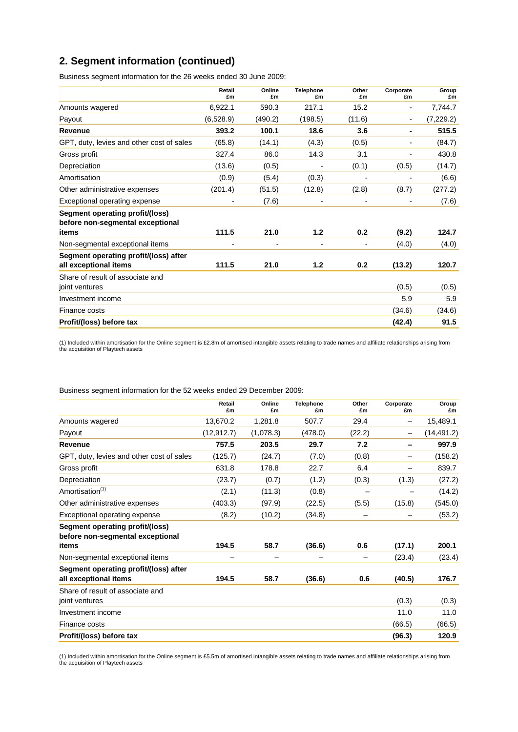# **2. Segment information (continued)**

Business segment information for the 26 weeks ended 30 June 2009:

|                                                                     | Retail<br>£m             | Online<br>£m | <b>Telephone</b><br>£m | Other<br>£m | Corporate<br>£m          | Group<br>£m |
|---------------------------------------------------------------------|--------------------------|--------------|------------------------|-------------|--------------------------|-------------|
| Amounts wagered                                                     | 6,922.1                  | 590.3        | 217.1                  | 15.2        | $\blacksquare$           | 7,744.7     |
| Payout                                                              | (6,528.9)                | (490.2)      | (198.5)                | (11.6)      | $\overline{\phantom{a}}$ | (7, 229.2)  |
| Revenue                                                             | 393.2                    | 100.1        | 18.6                   | 3.6         |                          | 515.5       |
| GPT, duty, levies and other cost of sales                           | (65.8)                   | (14.1)       | (4.3)                  | (0.5)       |                          | (84.7)      |
| Gross profit                                                        | 327.4                    | 86.0         | 14.3                   | 3.1         |                          | 430.8       |
| Depreciation                                                        | (13.6)                   | (0.5)        |                        | (0.1)       | (0.5)                    | (14.7)      |
| Amortisation                                                        | (0.9)                    | (5.4)        | (0.3)                  | -           |                          | (6.6)       |
| Other administrative expenses                                       | (201.4)                  | (51.5)       | (12.8)                 | (2.8)       | (8.7)                    | (277.2)     |
| Exceptional operating expense                                       | $\overline{\phantom{0}}$ | (7.6)        | $\blacksquare$         |             |                          | (7.6)       |
| Segment operating profit/(loss)<br>before non-segmental exceptional |                          |              |                        |             |                          |             |
| items                                                               | 111.5                    | 21.0         | 1.2                    | 0.2         | (9.2)                    | 124.7       |
| Non-segmental exceptional items                                     | $\overline{\phantom{0}}$ |              | $\blacksquare$         |             | (4.0)                    | (4.0)       |
| Segment operating profit/(loss) after                               |                          |              |                        |             |                          |             |
| all exceptional items                                               | 111.5                    | 21.0         | 1.2                    | 0.2         | (13.2)                   | 120.7       |
| Share of result of associate and<br>joint ventures                  |                          |              |                        |             | (0.5)                    | (0.5)       |
| Investment income                                                   |                          |              |                        |             |                          | 5.9         |
|                                                                     |                          |              |                        |             | 5.9                      |             |
| Finance costs                                                       |                          |              |                        |             | (34.6)                   | (34.6)      |
| Profit/(loss) before tax                                            |                          |              |                        |             | (42.4)                   | 91.5        |

(1) Included within amortisation for the Online segment is £2.8m of amortised intangible assets relating to trade names and affiliate relationships arising from the acquisition of Playtech assets

|                                                                     | Retail<br>£m | Online<br>£m | <b>Telephone</b><br>£m | Other<br>£m | Corporate<br>£m | Group<br>£m |
|---------------------------------------------------------------------|--------------|--------------|------------------------|-------------|-----------------|-------------|
| Amounts wagered                                                     | 13,670.2     | 1,281.8      | 507.7                  | 29.4        | -               | 15,489.1    |
| Payout                                                              | (12, 912.7)  | (1,078.3)    | (478.0)                | (22.2)      | -               | (14, 491.2) |
| Revenue                                                             | 757.5        | 203.5        | 29.7                   | 7.2         |                 | 997.9       |
| GPT, duty, levies and other cost of sales                           | (125.7)      | (24.7)       | (7.0)                  | (0.8)       | -               | (158.2)     |
| Gross profit                                                        | 631.8        | 178.8        | 22.7                   | 6.4         |                 | 839.7       |
| Depreciation                                                        | (23.7)       | (0.7)        | (1.2)                  | (0.3)       | (1.3)           | (27.2)      |
| Amortisation <sup>(1)</sup>                                         | (2.1)        | (11.3)       | (0.8)                  |             |                 | (14.2)      |
| Other administrative expenses                                       | (403.3)      | (97.9)       | (22.5)                 | (5.5)       | (15.8)          | (545.0)     |
| Exceptional operating expense                                       | (8.2)        | (10.2)       | (34.8)                 |             |                 | (53.2)      |
| Segment operating profit/(loss)<br>before non-segmental exceptional |              |              |                        |             |                 |             |
| items                                                               | 194.5        | 58.7         | (36.6)                 | 0.6         | (17.1)          | 200.1       |
| Non-segmental exceptional items                                     |              |              |                        |             | (23.4)          | (23.4)      |
| Segment operating profit/(loss) after<br>all exceptional items      | 194.5        | 58.7         | (36.6)                 | 0.6         | (40.5)          | 176.7       |
| Share of result of associate and<br>joint ventures                  |              |              |                        |             | (0.3)           | (0.3)       |
| Investment income                                                   |              |              |                        |             | 11.0            | 11.0        |
| Finance costs                                                       |              |              |                        |             | (66.5)          | (66.5)      |
| Profit/(loss) before tax                                            |              |              |                        |             | (96.3)          | 120.9       |

Business segment information for the 52 weeks ended 29 December 2009:

(1) Included within amortisation for the Online segment is £5.5m of amortised intangible assets relating to trade names and affiliate relationships arising from the acquisition of Playtech assets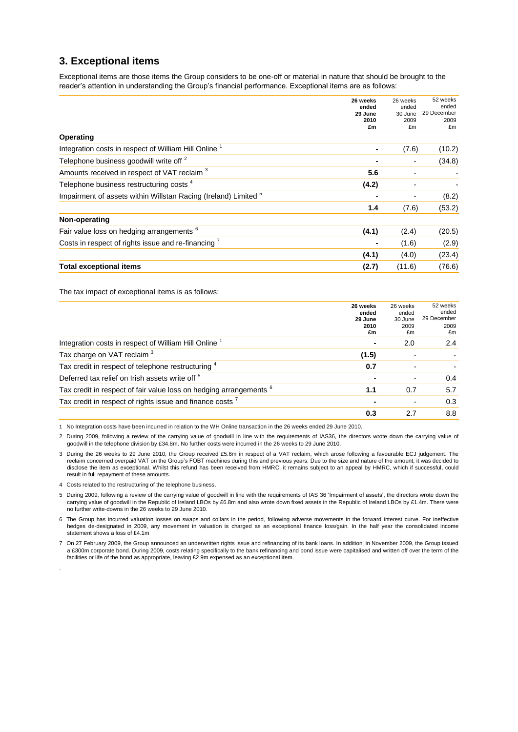### **3. Exceptional items**

Exceptional items are those items the Group considers to be one-off or material in nature that should be brought to the reader"s attention in understanding the Group"s financial performance. Exceptional items are as follows:

|                                                                            | 26 weeks<br>ended | 26 weeks<br>ended        | 52 weeks<br>ended   |
|----------------------------------------------------------------------------|-------------------|--------------------------|---------------------|
|                                                                            | 29 June<br>2010   | 30 June<br>2009          | 29 December<br>2009 |
|                                                                            | £m                | £m                       | £m                  |
| Operating                                                                  |                   |                          |                     |
| Integration costs in respect of William Hill Online <sup>1</sup>           | $\blacksquare$    | (7.6)                    | (10.2)              |
| Telephone business goodwill write off <sup>2</sup>                         |                   |                          | (34.8)              |
| Amounts received in respect of VAT reclaim <sup>3</sup>                    | 5.6               | $\blacksquare$           |                     |
| Telephone business restructuring costs <sup>4</sup>                        | (4.2)             |                          |                     |
| Impairment of assets within Willstan Racing (Ireland) Limited <sup>5</sup> |                   | $\overline{\phantom{a}}$ | (8.2)               |
|                                                                            | 1.4               | (7.6)                    | (53.2)              |
| Non-operating                                                              |                   |                          |                     |
| Fair value loss on hedging arrangements <sup>6</sup>                       | (4.1)             | (2.4)                    | (20.5)              |
| Costs in respect of rights issue and re-financing <sup>7</sup>             |                   | (1.6)                    | (2.9)               |
|                                                                            | (4.1)             | (4.0)                    | (23.4)              |
| Total exceptional items                                                    | (2.7)             | (11.6)                   | (76.6)              |

The tax impact of exceptional items is as follows:

|                                                                               | 26 weeks<br>ended<br>29 June<br>2010<br>£m | 26 weeks<br>ended<br>30 June<br>2009<br>£m | 52 weeks<br>ended<br>29 December<br>2009<br>£m |
|-------------------------------------------------------------------------------|--------------------------------------------|--------------------------------------------|------------------------------------------------|
| Integration costs in respect of William Hill Online <sup>1</sup>              |                                            | 2.0                                        | 2.4                                            |
| Tax charge on VAT reclaim <sup>3</sup>                                        | (1.5)                                      |                                            |                                                |
| Tax credit in respect of telephone restructuring 4                            | 0.7                                        | ۰                                          |                                                |
| Deferred tax relief on Irish assets write off <sup>5</sup>                    |                                            | $\blacksquare$                             | 0.4                                            |
| Tax credit in respect of fair value loss on hedging arrangements <sup>6</sup> | 1.1                                        | 0.7                                        | 5.7                                            |
| Tax credit in respect of rights issue and finance costs <sup>7</sup>          |                                            | $\blacksquare$                             | 0.3                                            |
|                                                                               | 0.3                                        | 2.7                                        | 8.8                                            |

1 No Integration costs have been incurred in relation to the WH Online transaction in the 26 weeks ended 29 June 2010.

2 During 2009, following a review of the carrying value of goodwill in line with the requirements of IAS36, the directors wrote down the carrying value of goodwill in the telephone division by £34.8m. No further costs were incurred in the 26 weeks to 29 June 2010.

3 During the 26 weeks to 29 June 2010, the Group received £5.6m in respect of a VAT reclaim, which arose following a favourable ECJ judgement. The reclaim concerned overpaid VAT on the Group"s FOBT machines during this and previous years. Due to the size and nature of the amount, it was decided to disclose the item as exceptional. Whilst this refund has been received from HMRC, it remains subject to an appeal by HMRC, which if successful, could result in full repayment of these amounts.

4 Costs related to the restructuring of the telephone business.

.

5 During 2009, following a review of the carrying value of goodwill in line with the requirements of IAS 36 "Impairment of assets", the directors wrote down the carrying value of goodwill in the Republic of Ireland LBOs by £6.8m and also wrote down fixed assets in the Republic of Ireland LBOs by £1.4m. There were no further write-downs in the 26 weeks to 29 June 2010.

6 The Group has incurred valuation losses on swaps and collars in the period, following adverse movements in the forward interest curve. For ineffective hedges de-designated in 2009, any movement in valuation is charged as an exceptional finance loss/gain. In the half year the consolidated income statement shows a loss of £4.1m

7 On 27 February 2009, the Group announced an underwritten rights issue and refinancing of its bank loans. In addition, in November 2009, the Group issued a £300m corporate bond. During 2009, costs relating specifically to the bank refinancing and bond issue were capitalised and written off over the term of the facilities or life of the bond as appropriate, leaving £2.9m expensed as an exceptional item.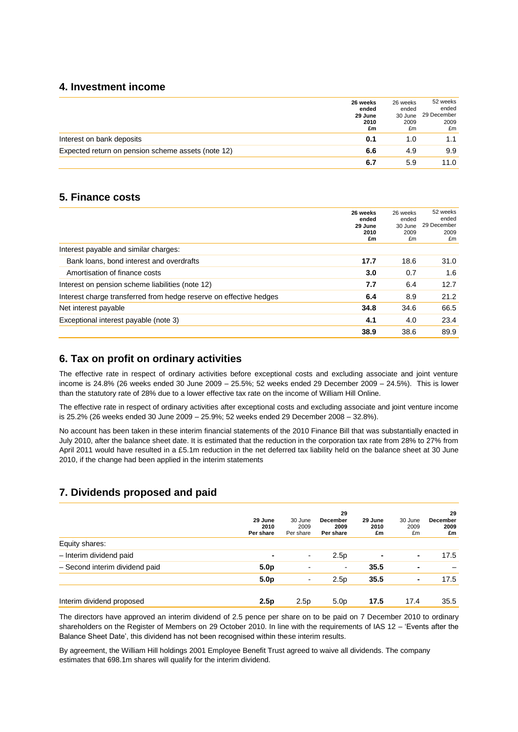#### **4. Investment income**

|                                                    | 26 weeks<br>ended<br>29 June | 26 weeks<br>ended<br>30 June | 52 weeks<br>ended<br>29 December |
|----------------------------------------------------|------------------------------|------------------------------|----------------------------------|
|                                                    | 2010<br>£m                   | 2009<br>£m                   | 2009<br>£m                       |
| Interest on bank deposits                          | 0.1                          | 1.0                          | 1.1                              |
| Expected return on pension scheme assets (note 12) | 6.6                          | 4.9                          | 9.9                              |
|                                                    | 6.7                          | 5.9                          | 11.0                             |

#### **5. Finance costs**

|                                                                    | 26 weeks<br>ended<br>29 June<br>2010<br>£m | 26 weeks<br>ended<br>30 June<br>2009<br>£m | 52 weeks<br>ended<br>29 December<br>2009<br>£m |
|--------------------------------------------------------------------|--------------------------------------------|--------------------------------------------|------------------------------------------------|
| Interest payable and similar charges:                              |                                            |                                            |                                                |
| Bank loans, bond interest and overdrafts                           | 17.7                                       | 18.6                                       | 31.0                                           |
| Amortisation of finance costs                                      | 3.0                                        | 0.7                                        | 1.6                                            |
| Interest on pension scheme liabilities (note 12)                   | 7.7                                        | 6.4                                        | 12.7                                           |
| Interest charge transferred from hedge reserve on effective hedges | 6.4                                        | 8.9                                        | 21.2                                           |
| Net interest payable                                               | 34.8                                       | 34.6                                       | 66.5                                           |
| Exceptional interest payable (note 3)                              | 4.1                                        | 4.0                                        | 23.4                                           |
|                                                                    | 38.9                                       | 38.6                                       | 89.9                                           |

# **6. Tax on profit on ordinary activities**

The effective rate in respect of ordinary activities before exceptional costs and excluding associate and joint venture income is 24.8% (26 weeks ended 30 June 2009 – 25.5%; 52 weeks ended 29 December 2009 – 24.5%). This is lower than the statutory rate of 28% due to a lower effective tax rate on the income of William Hill Online.

The effective rate in respect of ordinary activities after exceptional costs and excluding associate and joint venture income is 25.2% (26 weeks ended 30 June 2009 – 25.9%; 52 weeks ended 29 December 2008 – 32.8%).

No account has been taken in these interim financial statements of the 2010 Finance Bill that was substantially enacted in July 2010, after the balance sheet date. It is estimated that the reduction in the corporation tax rate from 28% to 27% from April 2011 would have resulted in a £5.1m reduction in the net deferred tax liability held on the balance sheet at 30 June 2010, if the change had been applied in the interim statements

# **7. Dividends proposed and paid**

|                                | 29 June<br>2010<br>Per share | 30 June<br>2009<br>Per share | 29<br>December<br>2009<br>Per share | 29 June<br>2010<br>£m | 30 June<br>2009<br>£m | 29<br>December<br>2009<br>£m |
|--------------------------------|------------------------------|------------------------------|-------------------------------------|-----------------------|-----------------------|------------------------------|
| Equity shares:                 |                              |                              |                                     |                       |                       |                              |
| - Interim dividend paid        | ۰                            | $\overline{\phantom{a}}$     | 2.5 <sub>p</sub>                    |                       | ۰                     | 17.5                         |
| - Second interim dividend paid | 5.0 <sub>p</sub>             |                              | $\blacksquare$                      | 35.5                  | ۰                     |                              |
|                                | 5.0 <sub>p</sub>             | $\overline{\phantom{a}}$     | 2.5p                                | 35.5                  | ۰                     | 17.5                         |
| Interim dividend proposed      | 2.5p                         | 2.5p                         | 5.0 <sub>p</sub>                    | 17.5                  | 17.4                  | 35.5                         |

The directors have approved an interim dividend of 2.5 pence per share on to be paid on 7 December 2010 to ordinary shareholders on the Register of Members on 29 October 2010. In line with the requirements of IAS 12 – "Events after the Balance Sheet Date", this dividend has not been recognised within these interim results.

By agreement, the William Hill holdings 2001 Employee Benefit Trust agreed to waive all dividends. The company estimates that 698.1m shares will qualify for the interim dividend.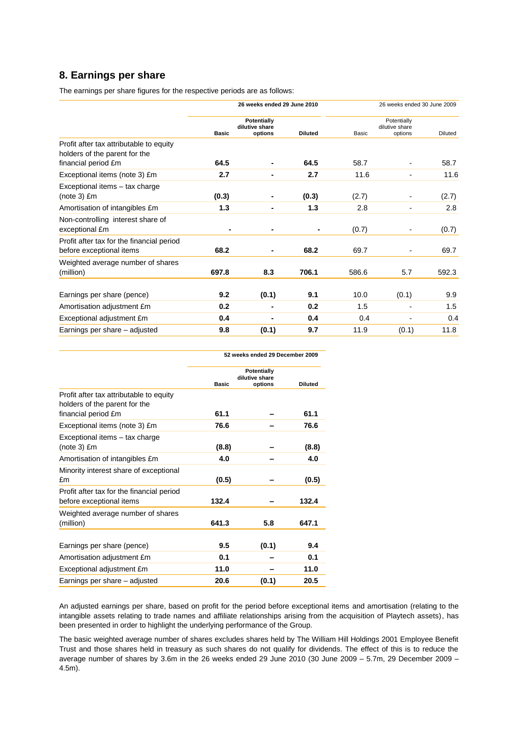# **8. Earnings per share**

The earnings per share figures for the respective periods are as follows:

|                                                                          |              | 26 weeks ended 29 June 2010              |                |       | 26 weeks ended 30 June 2009              |         |
|--------------------------------------------------------------------------|--------------|------------------------------------------|----------------|-------|------------------------------------------|---------|
|                                                                          | <b>Basic</b> | Potentially<br>dilutive share<br>options | <b>Diluted</b> | Basic | Potentially<br>dilutive share<br>options | Diluted |
| Profit after tax attributable to equity<br>holders of the parent for the |              |                                          |                |       |                                          |         |
| financial period £m                                                      | 64.5         |                                          | 64.5           | 58.7  |                                          | 58.7    |
| Exceptional items (note 3) £m                                            | 2.7          |                                          | 2.7            | 11.6  |                                          | 11.6    |
| Exceptional items - tax charge<br>$(note 3)$ $Em$                        | (0.3)        |                                          | (0.3)          | (2.7) |                                          | (2.7)   |
| Amortisation of intangibles £m                                           | 1.3          |                                          | 1.3            | 2.8   |                                          | 2.8     |
| Non-controlling interest share of<br>exceptional £m                      |              |                                          |                | (0.7) |                                          | (0.7)   |
| Profit after tax for the financial period<br>before exceptional items    | 68.2         |                                          | 68.2           | 69.7  |                                          | 69.7    |
| Weighted average number of shares<br>(million)                           | 697.8        | 8.3                                      | 706.1          | 586.6 | 5.7                                      | 592.3   |
| Earnings per share (pence)                                               | 9.2          | (0.1)                                    | 9.1            | 10.0  | (0.1)                                    | 9.9     |
| Amortisation adjustment £m                                               | 0.2          |                                          | 0.2            | 1.5   |                                          | 1.5     |
| Exceptional adjustment £m                                                | 0.4          |                                          | 0.4            | 0.4   |                                          | 0.4     |
| Earnings per share - adjusted                                            | 9.8          | (0.1)                                    | 9.7            | 11.9  | (0.1)                                    | 11.8    |

|                                                                          | 52 weeks ended 29 December 2009 |                                          |                |  |  |
|--------------------------------------------------------------------------|---------------------------------|------------------------------------------|----------------|--|--|
|                                                                          | <b>Basic</b>                    | Potentially<br>dilutive share<br>options | <b>Diluted</b> |  |  |
| Profit after tax attributable to equity<br>holders of the parent for the |                                 |                                          |                |  |  |
| financial period £m                                                      | 61.1                            |                                          | 61.1           |  |  |
| Exceptional items (note 3) £m                                            | 76.6                            |                                          | 76.6           |  |  |
| Exceptional items - tax charge<br>$(note 3)$ $Em$                        | (8.8)                           |                                          | (8.8)          |  |  |
| Amortisation of intangibles £m                                           | 4.0                             |                                          | 4.0            |  |  |
| Minority interest share of exceptional<br>£m                             | (0.5)                           |                                          | (0.5)          |  |  |
| Profit after tax for the financial period<br>before exceptional items    | 132.4                           |                                          | 132.4          |  |  |
| Weighted average number of shares<br>(million)                           | 641.3                           | 5.8                                      | 647.1          |  |  |
| Earnings per share (pence)                                               | 9.5                             | (0.1)                                    | 9.4            |  |  |
| Amortisation adjustment £m                                               | 0.1                             |                                          | 0.1            |  |  |
| Exceptional adjustment £m                                                | 11.0                            |                                          | 11.0           |  |  |
| Earnings per share - adjusted                                            | 20.6                            | (0.1)                                    | 20.5           |  |  |

An adjusted earnings per share, based on profit for the period before exceptional items and amortisation (relating to the intangible assets relating to trade names and affiliate relationships arising from the acquisition of Playtech assets), has been presented in order to highlight the underlying performance of the Group.

The basic weighted average number of shares excludes shares held by The William Hill Holdings 2001 Employee Benefit Trust and those shares held in treasury as such shares do not qualify for dividends. The effect of this is to reduce the average number of shares by 3.6m in the 26 weeks ended 29 June 2010 (30 June 2009 – 5.7m, 29 December 2009 – 4.5m).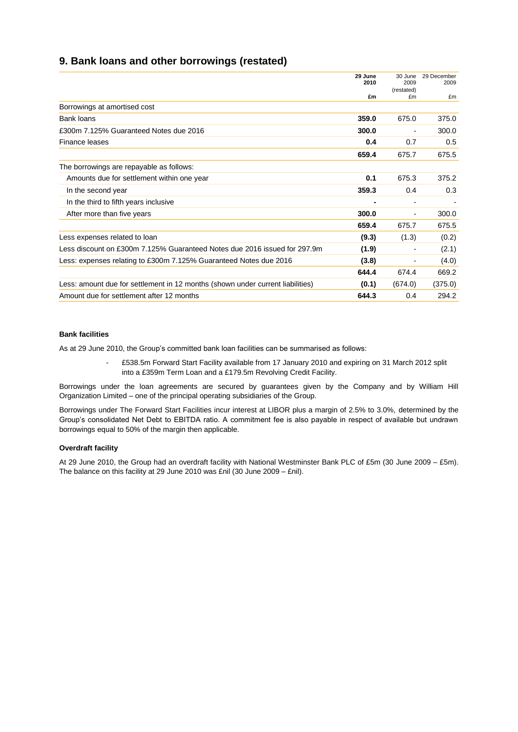### **9. Bank loans and other borrowings (restated)**

|                                                                                | 29 June<br>2010 | 30 June<br>2009<br>(restated) | 29 December<br>2009 |
|--------------------------------------------------------------------------------|-----------------|-------------------------------|---------------------|
|                                                                                | £m              | £m                            | £m                  |
| Borrowings at amortised cost                                                   |                 |                               |                     |
| Bank loans                                                                     | 359.0           | 675.0                         | 375.0               |
| £300m 7.125% Guaranteed Notes due 2016                                         | 300.0           | $\overline{\phantom{a}}$      | 300.0               |
| Finance leases                                                                 | 0.4             | 0.7                           | 0.5                 |
|                                                                                | 659.4           | 675.7                         | 675.5               |
| The borrowings are repayable as follows:                                       |                 |                               |                     |
| Amounts due for settlement within one year                                     | 0.1             | 675.3                         | 375.2               |
| In the second year                                                             | 359.3           | 0.4                           | 0.3                 |
| In the third to fifth years inclusive                                          |                 | $\overline{\phantom{a}}$      |                     |
| After more than five years                                                     | 300.0           | $\overline{\phantom{a}}$      | 300.0               |
|                                                                                | 659.4           | 675.7                         | 675.5               |
| Less expenses related to loan                                                  | (9.3)           | (1.3)                         | (0.2)               |
| Less discount on £300m 7.125% Guaranteed Notes due 2016 issued for 297.9m      | (1.9)           | $\overline{\phantom{a}}$      | (2.1)               |
| Less: expenses relating to £300m 7.125% Guaranteed Notes due 2016              | (3.8)           | $\overline{\phantom{a}}$      | (4.0)               |
|                                                                                | 644.4           | 674.4                         | 669.2               |
| Less: amount due for settlement in 12 months (shown under current liabilities) | (0.1)           | (674.0)                       | (375.0)             |
| Amount due for settlement after 12 months                                      | 644.3           | 0.4                           | 294.2               |

#### **Bank facilities**

As at 29 June 2010, the Group"s committed bank loan facilities can be summarised as follows:

- £538.5m Forward Start Facility available from 17 January 2010 and expiring on 31 March 2012 split into a £359m Term Loan and a £179.5m Revolving Credit Facility.

Borrowings under the loan agreements are secured by guarantees given by the Company and by William Hill Organization Limited – one of the principal operating subsidiaries of the Group.

Borrowings under The Forward Start Facilities incur interest at LIBOR plus a margin of 2.5% to 3.0%, determined by the Group"s consolidated Net Debt to EBITDA ratio. A commitment fee is also payable in respect of available but undrawn borrowings equal to 50% of the margin then applicable.

#### **Overdraft facility**

At 29 June 2010, the Group had an overdraft facility with National Westminster Bank PLC of £5m (30 June 2009 – £5m). The balance on this facility at 29 June 2010 was £nil (30 June 2009 – £nil).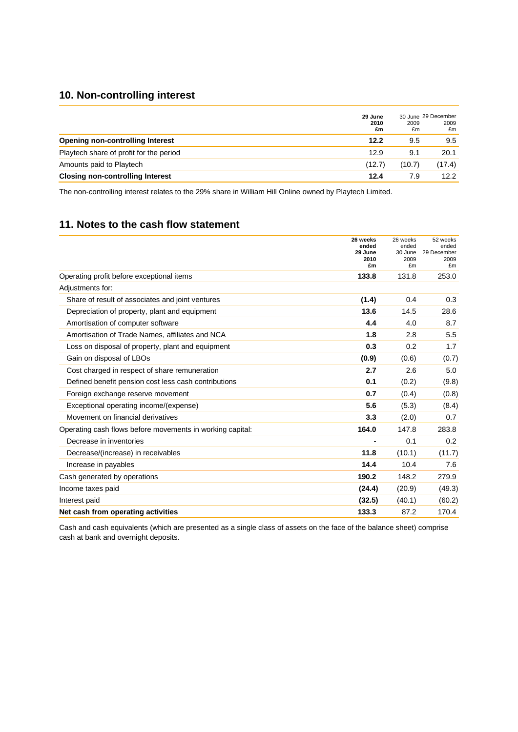# **10. Non-controlling interest**

|                                         | 29 June<br>2010<br>£m | 2009<br>£m | 30 June 29 December<br>2009<br>£m |
|-----------------------------------------|-----------------------|------------|-----------------------------------|
| Opening non-controlling Interest        | 12.2                  | 9.5        | 9.5                               |
| Playtech share of profit for the period | 12.9                  | 9.1        | 20.1                              |
| Amounts paid to Playtech                | (12.7)                | (10.7)     | (17.4)                            |
| <b>Closing non-controlling Interest</b> | 12.4                  | 7.9        | 12.2                              |

The non-controlling interest relates to the 29% share in William Hill Online owned by Playtech Limited.

# **11. Notes to the cash flow statement**

|                                                           | 26 weeks<br>ended     | 26 weeks<br>ended     | 52 weeks<br>ended         |
|-----------------------------------------------------------|-----------------------|-----------------------|---------------------------|
|                                                           | 29 June<br>2010<br>£m | 30 June<br>2009<br>£m | 29 December<br>2009<br>£m |
| Operating profit before exceptional items                 | 133.8                 | 131.8                 | 253.0                     |
| Adjustments for:                                          |                       |                       |                           |
| Share of result of associates and joint ventures          | (1.4)                 | 0.4                   | 0.3                       |
| Depreciation of property, plant and equipment             | 13.6                  | 14.5                  | 28.6                      |
| Amortisation of computer software                         | 4.4                   | 4.0                   | 8.7                       |
| Amortisation of Trade Names, affiliates and NCA           | 1.8                   | 2.8                   | 5.5                       |
| Loss on disposal of property, plant and equipment         | 0.3                   | 0.2                   | 1.7                       |
| Gain on disposal of LBOs                                  | (0.9)                 | (0.6)                 | (0.7)                     |
| Cost charged in respect of share remuneration             | 2.7                   | 2.6                   | 5.0                       |
| Defined benefit pension cost less cash contributions      | 0.1                   | (0.2)                 | (9.8)                     |
| Foreign exchange reserve movement                         | 0.7                   | (0.4)                 | (0.8)                     |
| Exceptional operating income/(expense)                    | 5.6                   | (5.3)                 | (8.4)                     |
| Movement on financial derivatives                         | 3.3                   | (2.0)                 | 0.7                       |
| Operating cash flows before movements in working capital: | 164.0                 | 147.8                 | 283.8                     |
| Decrease in inventories                                   | ۰                     | 0.1                   | 0.2                       |
| Decrease/(increase) in receivables                        | 11.8                  | (10.1)                | (11.7)                    |
| Increase in payables                                      | 14.4                  | 10.4                  | 7.6                       |
| Cash generated by operations                              | 190.2                 | 148.2                 | 279.9                     |
| Income taxes paid                                         | (24.4)                | (20.9)                | (49.3)                    |
| Interest paid                                             | (32.5)                | (40.1)                | (60.2)                    |
| Net cash from operating activities                        | 133.3                 | 87.2                  | 170.4                     |

Cash and cash equivalents (which are presented as a single class of assets on the face of the balance sheet) comprise cash at bank and overnight deposits.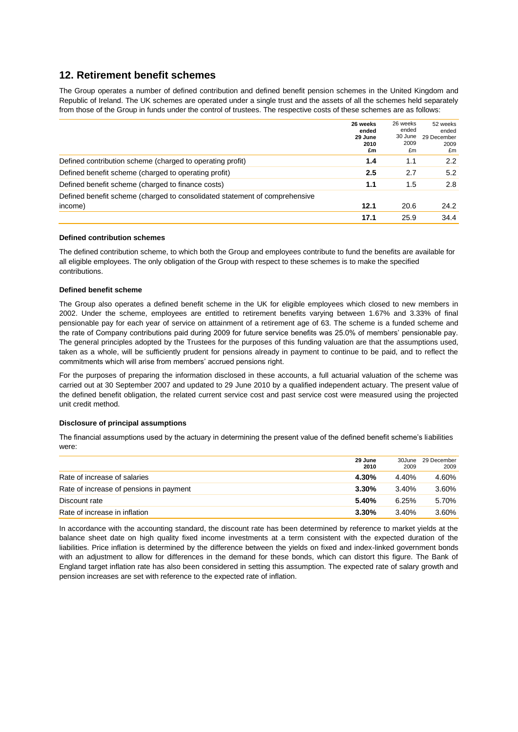### **12. Retirement benefit schemes**

The Group operates a number of defined contribution and defined benefit pension schemes in the United Kingdom and Republic of Ireland. The UK schemes are operated under a single trust and the assets of all the schemes held separately from those of the Group in funds under the control of trustees. The respective costs of these schemes are as follows:

|                                                                            | 26 weeks<br>ended<br>29 June<br>2010<br>£m | 26 weeks<br>ended<br>30 June<br>2009<br>£m | 52 weeks<br>ended<br>29 December<br>2009<br>£m |
|----------------------------------------------------------------------------|--------------------------------------------|--------------------------------------------|------------------------------------------------|
| Defined contribution scheme (charged to operating profit)                  | 1.4                                        | 1.1                                        | 2.2                                            |
| Defined benefit scheme (charged to operating profit)                       | 2.5                                        | 2.7                                        | 5.2                                            |
| Defined benefit scheme (charged to finance costs)                          | 1.1                                        | 1.5                                        | 2.8                                            |
| Defined benefit scheme (charged to consolidated statement of comprehensive |                                            |                                            |                                                |
| income)                                                                    | 12.1                                       | 20.6                                       | 24.2                                           |
|                                                                            | 17.1                                       | 25.9                                       | 34.4                                           |

#### **Defined contribution schemes**

The defined contribution scheme, to which both the Group and employees contribute to fund the benefits are available for all eligible employees. The only obligation of the Group with respect to these schemes is to make the specified contributions.

#### **Defined benefit scheme**

The Group also operates a defined benefit scheme in the UK for eligible employees which closed to new members in 2002. Under the scheme, employees are entitled to retirement benefits varying between 1.67% and 3.33% of final pensionable pay for each year of service on attainment of a retirement age of 63. The scheme is a funded scheme and the rate of Company contributions paid during 2009 for future service benefits was 25.0% of members" pensionable pay. The general principles adopted by the Trustees for the purposes of this funding valuation are that the assumptions used, taken as a whole, will be sufficiently prudent for pensions already in payment to continue to be paid, and to reflect the commitments which will arise from members" accrued pensions right.

For the purposes of preparing the information disclosed in these accounts, a full actuarial valuation of the scheme was carried out at 30 September 2007 and updated to 29 June 2010 by a qualified independent actuary. The present value of the defined benefit obligation, the related current service cost and past service cost were measured using the projected unit credit method.

#### **Disclosure of principal assumptions**

The financial assumptions used by the actuary in determining the present value of the defined benefit scheme"s liabilities were:

|                                         | 29 June<br>2010 | 30June<br>2009 | 29 December<br>2009 |
|-----------------------------------------|-----------------|----------------|---------------------|
| Rate of increase of salaries            | 4.30%           | 4.40%          | 4.60%               |
| Rate of increase of pensions in payment | $3.30\%$        | $3.40\%$       | 3.60%               |
| Discount rate                           | 5.40%           | 6.25%          | 5.70%               |
| Rate of increase in inflation           | 3.30%           | $3.40\%$       | 3.60%               |

In accordance with the accounting standard, the discount rate has been determined by reference to market yields at the balance sheet date on high quality fixed income investments at a term consistent with the expected duration of the liabilities. Price inflation is determined by the difference between the yields on fixed and index-linked government bonds with an adjustment to allow for differences in the demand for these bonds, which can distort this figure. The Bank of England target inflation rate has also been considered in setting this assumption. The expected rate of salary growth and pension increases are set with reference to the expected rate of inflation.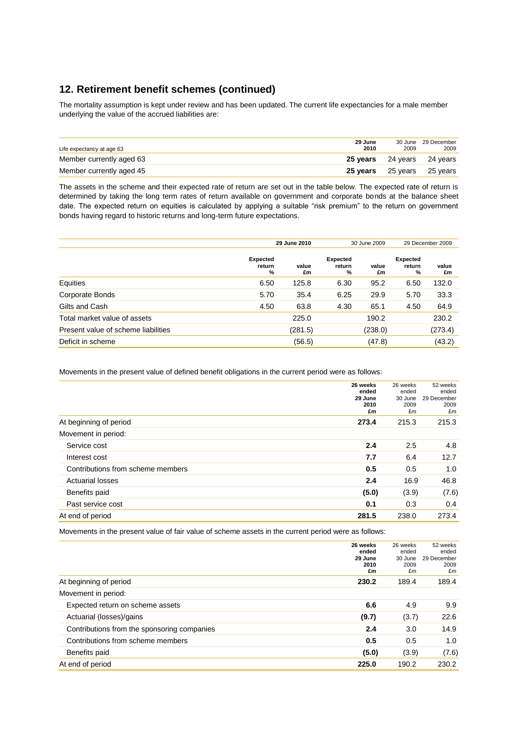# **12. Retirement benefit schemes (continued)**

The mortality assumption is kept under review and has been updated. The current life expectancies for a male member underlying the value of the accrued liabilities are:

| Life expectancy at age 63 | 29 June<br>2010   | 2009 | 30 June 29 December<br>2009 |
|---------------------------|-------------------|------|-----------------------------|
| Member currently aged 63  | 25 vears 24 years |      | 24 vears                    |
| Member currently aged 45  |                   |      | 25 years 25 years 25 years  |

The assets in the scheme and their expected rate of return are set out in the table below. The expected rate of return is determined by taking the long term rates of return available on government and corporate bonds at the balance sheet date. The expected return on equities is calculated by applying a suitable "risk premium" to the return on government bonds having regard to historic returns and long-term future expectations.

|                                     | 29 June 2010                   |             | 30 June 2009                   |             | 29 December 2009               |             |
|-------------------------------------|--------------------------------|-------------|--------------------------------|-------------|--------------------------------|-------------|
|                                     | <b>Expected</b><br>return<br>% | value<br>£m | <b>Expected</b><br>return<br>% | value<br>£m | <b>Expected</b><br>return<br>% | value<br>£m |
| Equities                            | 6.50                           | 125.8       | 6.30                           | 95.2        | 6.50                           | 132.0       |
| Corporate Bonds                     | 5.70                           | 35.4        | 6.25                           | 29.9        | 5.70                           | 33.3        |
| Gilts and Cash                      | 4.50                           | 63.8        | 4.30                           | 65.1        | 4.50                           | 64.9        |
| Total market value of assets        |                                | 225.0       |                                | 190.2       |                                | 230.2       |
| Present value of scheme liabilities |                                | (281.5)     |                                | (238.0)     |                                | (273.4)     |
| Deficit in scheme                   |                                | (56.5)      |                                | (47.8)      |                                | (43.2)      |

Movements in the present value of defined benefit obligations in the current period were as follows:

|                                   | 26 weeks<br>ended<br>29 June<br>2010<br>£m | 26 weeks<br>ended<br>30 June<br>2009<br>£m | 52 weeks<br>ended<br>29 December<br>2009<br>£m |
|-----------------------------------|--------------------------------------------|--------------------------------------------|------------------------------------------------|
| At beginning of period            | 273.4                                      | 215.3                                      | 215.3                                          |
| Movement in period:               |                                            |                                            |                                                |
| Service cost                      | 2.4                                        | 2.5                                        | 4.8                                            |
| Interest cost                     | 7.7                                        | 6.4                                        | 12.7                                           |
| Contributions from scheme members | 0.5                                        | 0.5                                        | 1.0                                            |
| <b>Actuarial losses</b>           | 2.4                                        | 16.9                                       | 46.8                                           |
| Benefits paid                     | (5.0)                                      | (3.9)                                      | (7.6)                                          |
| Past service cost                 | 0.1                                        | 0.3                                        | 0.4                                            |
| At end of period                  | 281.5                                      | 238.0                                      | 273.4                                          |

Movements in the present value of fair value of scheme assets in the current period were as follows:

|                                             | 26 weeks<br>ended<br>29 June<br>2010<br>£m | 26 weeks<br>ended<br>30 June<br>2009<br>£m | 52 weeks<br>ended<br>29 December<br>2009<br>£m |
|---------------------------------------------|--------------------------------------------|--------------------------------------------|------------------------------------------------|
| At beginning of period                      | 230.2                                      | 189.4                                      | 189.4                                          |
| Movement in period:                         |                                            |                                            |                                                |
| Expected return on scheme assets            | 6.6                                        | 4.9                                        | 9.9                                            |
| Actuarial (losses)/gains                    | (9.7)                                      | (3.7)                                      | 22.6                                           |
| Contributions from the sponsoring companies | 2.4                                        | 3.0                                        | 14.9                                           |
| Contributions from scheme members           | 0.5                                        | 0.5                                        | 1.0                                            |
| Benefits paid                               | (5.0)                                      | (3.9)                                      | (7.6)                                          |
| At end of period                            | 225.0                                      | 190.2                                      | 230.2                                          |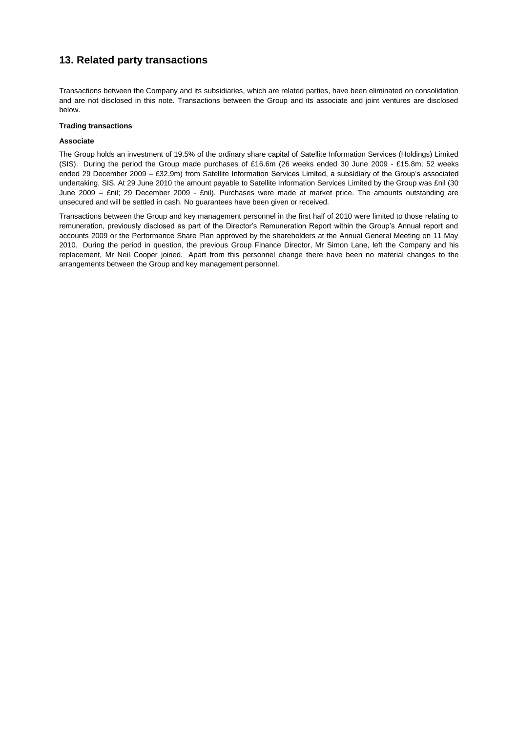# **13. Related party transactions**

Transactions between the Company and its subsidiaries, which are related parties, have been eliminated on consolidation and are not disclosed in this note. Transactions between the Group and its associate and joint ventures are disclosed below.

#### **Trading transactions**

#### **Associate**

The Group holds an investment of 19.5% of the ordinary share capital of Satellite Information Services (Holdings) Limited (SIS). During the period the Group made purchases of £16.6m (26 weeks ended 30 June 2009 - £15.8m; 52 weeks ended 29 December 2009 – £32.9m) from Satellite Information Services Limited, a subsidiary of the Group's associated undertaking, SIS. At 29 June 2010 the amount payable to Satellite Information Services Limited by the Group was £nil (30 June 2009 – £nil; 29 December 2009 - £nil). Purchases were made at market price. The amounts outstanding are unsecured and will be settled in cash. No guarantees have been given or received.

Transactions between the Group and key management personnel in the first half of 2010 were limited to those relating to remuneration, previously disclosed as part of the Director's Remuneration Report within the Group's Annual report and accounts 2009 or the Performance Share Plan approved by the shareholders at the Annual General Meeting on 11 May 2010. During the period in question, the previous Group Finance Director, Mr Simon Lane, left the Company and his replacement, Mr Neil Cooper joined. Apart from this personnel change there have been no material changes to the arrangements between the Group and key management personnel.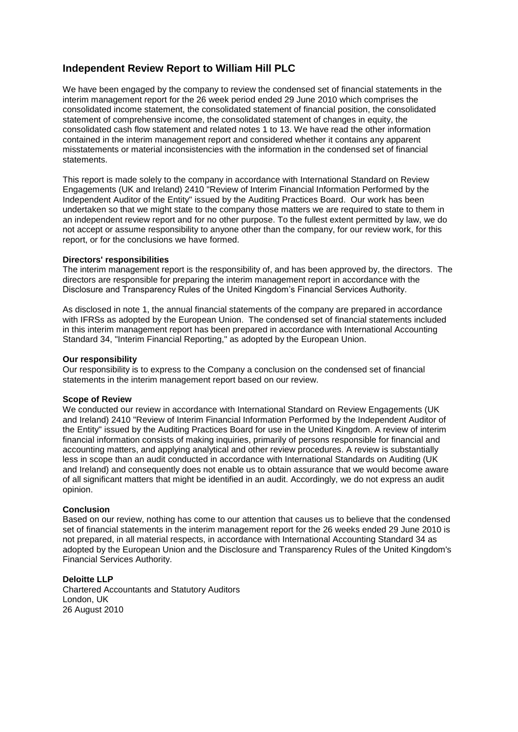# **Independent Review Report to William Hill PLC**

We have been engaged by the company to review the condensed set of financial statements in the interim management report for the 26 week period ended 29 June 2010 which comprises the consolidated income statement, the consolidated statement of financial position, the consolidated statement of comprehensive income, the consolidated statement of changes in equity, the consolidated cash flow statement and related notes 1 to 13. We have read the other information contained in the interim management report and considered whether it contains any apparent misstatements or material inconsistencies with the information in the condensed set of financial statements.

This report is made solely to the company in accordance with International Standard on Review Engagements (UK and Ireland) 2410 "Review of Interim Financial Information Performed by the Independent Auditor of the Entity" issued by the Auditing Practices Board. Our work has been undertaken so that we might state to the company those matters we are required to state to them in an independent review report and for no other purpose. To the fullest extent permitted by law, we do not accept or assume responsibility to anyone other than the company, for our review work, for this report, or for the conclusions we have formed.

#### **Directors' responsibilities**

The interim management report is the responsibility of, and has been approved by, the directors. The directors are responsible for preparing the interim management report in accordance with the Disclosure and Transparency Rules of the United Kingdom's Financial Services Authority.

As disclosed in note 1, the annual financial statements of the company are prepared in accordance with IFRSs as adopted by the European Union. The condensed set of financial statements included in this interim management report has been prepared in accordance with International Accounting Standard 34, "Interim Financial Reporting," as adopted by the European Union.

#### **Our responsibility**

Our responsibility is to express to the Company a conclusion on the condensed set of financial statements in the interim management report based on our review.

#### **Scope of Review**

We conducted our review in accordance with International Standard on Review Engagements (UK and Ireland) 2410 "Review of Interim Financial Information Performed by the Independent Auditor of the Entity" issued by the Auditing Practices Board for use in the United Kingdom. A review of interim financial information consists of making inquiries, primarily of persons responsible for financial and accounting matters, and applying analytical and other review procedures. A review is substantially less in scope than an audit conducted in accordance with International Standards on Auditing (UK and Ireland) and consequently does not enable us to obtain assurance that we would become aware of all significant matters that might be identified in an audit. Accordingly, we do not express an audit opinion.

#### **Conclusion**

Based on our review, nothing has come to our attention that causes us to believe that the condensed set of financial statements in the interim management report for the 26 weeks ended 29 June 2010 is not prepared, in all material respects, in accordance with International Accounting Standard 34 as adopted by the European Union and the Disclosure and Transparency Rules of the United Kingdom's Financial Services Authority.

#### **Deloitte LLP**

Chartered Accountants and Statutory Auditors London, UK 26 August 2010